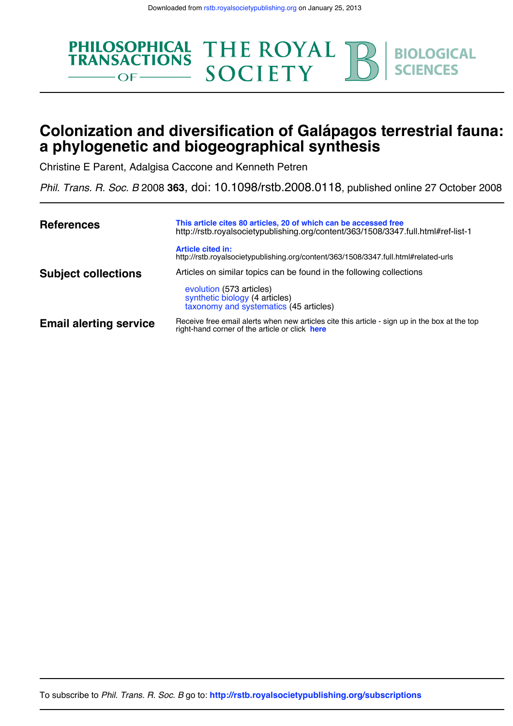

# **a phylogenetic and biogeographical synthesis Colonization and diversification of Galápagos terrestrial fauna:**

Christine E Parent, Adalgisa Caccone and Kenneth Petren

*Phil. Trans. R. Soc. B* 2008 **363**, doi: 10.1098/rstb.2008.0118, published online 27 October 2008

| <b>References</b>             | This article cites 80 articles, 20 of which can be accessed free<br>http://rstb.royalsocietypublishing.org/content/363/1508/3347.full.html#ref-list-1 |  |  |  |  |
|-------------------------------|-------------------------------------------------------------------------------------------------------------------------------------------------------|--|--|--|--|
|                               | <b>Article cited in:</b><br>http://rstb.royalsocietypublishing.org/content/363/1508/3347.full.html#related-urls                                       |  |  |  |  |
| <b>Subject collections</b>    | Articles on similar topics can be found in the following collections                                                                                  |  |  |  |  |
|                               | evolution (573 articles)<br>synthetic biology (4 articles)<br>taxonomy and systematics (45 articles)                                                  |  |  |  |  |
| <b>Email alerting service</b> | Receive free email alerts when new articles cite this article - sign up in the box at the top<br>right-hand corner of the article or click here       |  |  |  |  |

To subscribe to *Phil. Trans. R. Soc. B* go to: **<http://rstb.royalsocietypublishing.org/subscriptions>**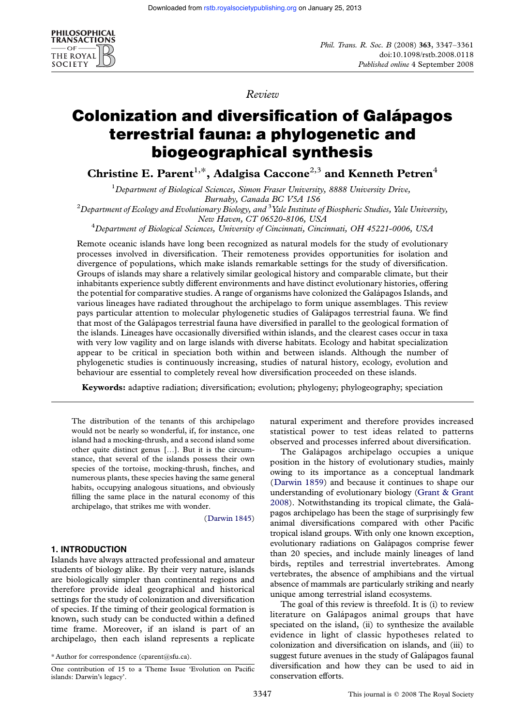

Review

# **Colonization and diversification of Galápagos** terrestrial fauna: a phylogenetic and biogeographical synthesis

Christine E. Parent<sup>1,\*</sup>, Adalgisa Caccone<sup>2,3</sup> and Kenneth Petren<sup>4</sup>

 ${}^{1}$ Department of Biological Sciences, Simon Fraser University, 8888 University Drive, Burnaby, Canada BC V5A 1S6<br><sup>2</sup>Department of Ecology and Evolutionary Biology, and <sup>3</sup>Yale Institute of Biospheric Studies, Yale University,

New Haven, CT 06520-8106, USA<br><sup>4</sup>Department of Biological Sciences, University of Cincinnati, Cincinnati, OH 45221-0006, USA

Remote oceanic islands have long been recognized as natural models for the study of evolutionary processes involved in diversification. Their remoteness provides opportunities for isolation and divergence of populations, which make islands remarkable settings for the study of diversification. Groups of islands may share a relatively similar geological history and comparable climate, but their inhabitants experience subtly different environments and have distinct evolutionary histories, offering the potential for comparative studies. A range of organisms have colonized the Galápagos Islands, and various lineages have radiated throughout the archipelago to form unique assemblages. This review pays particular attention to molecular phylogenetic studies of Galápagos terrestrial fauna. We find that most of the Gala´pagos terrestrial fauna have diversified in parallel to the geological formation of the islands. Lineages have occasionally diversified within islands, and the clearest cases occur in taxa with very low vagility and on large islands with diverse habitats. Ecology and habitat specialization appear to be critical in speciation both within and between islands. Although the number of phylogenetic studies is continuously increasing, studies of natural history, ecology, evolution and behaviour are essential to completely reveal how diversification proceeded on these islands.

Keywords: adaptive radiation; diversification; evolution; phylogeny; phylogeography; speciation

The distribution of the tenants of this archipelago would not be nearly so wonderful, if, for instance, one island had a mocking-thrush, and a second island some other quite distinct genus [...]. But it is the circumstance, that several of the islands possess their own species of the tortoise, mocking-thrush, finches, and numerous plants, these species having the same general habits, occupying analogous situations, and obviously filling the same place in the natural economy of this archipelago, that strikes me with wonder.

([Darwin 1845\)](#page-13-0)

# 1. INTRODUCTION

Islands have always attracted professional and amateur students of biology alike. By their very nature, islands are biologically simpler than continental regions and therefore provide ideal geographical and historical settings for the study of colonization and diversification of species. If the timing of their geological formation is known, such study can be conducted within a defined time frame. Moreover, if an island is part of an archipelago, then each island represents a replicate

\* Author for correspondence (cparent@sfu.ca).

natural experiment and therefore provides increased statistical power to test ideas related to patterns observed and processes inferred about diversification.

The Galápagos archipelago occupies a unique position in the history of evolutionary studies, mainly owing to its importance as a conceptual landmark ([Darwin 1859](#page-13-0)) and because it continues to shape our understanding of evolutionary biology [\(Grant & Grant](#page-13-0) [2008\)](#page-13-0). Notwithstanding its tropical climate, the Galápagos archipelago has been the stage of surprisingly few animal diversifications compared with other Pacific tropical island groups. With only one known exception, evolutionary radiations on Galápagos comprise fewer than 20 species, and include mainly lineages of land birds, reptiles and terrestrial invertebrates. Among vertebrates, the absence of amphibians and the virtual absence of mammals are particularly striking and nearly unique among terrestrial island ecosystems.

The goal of this review is threefold. It is (i) to review literature on Galápagos animal groups that have speciated on the island, (ii) to synthesize the available evidence in light of classic hypotheses related to colonization and diversification on islands, and (iii) to suggest future avenues in the study of Galápagos faunal diversification and how they can be used to aid in conservation efforts.

One contribution of 15 to a Theme Issue 'Evolution on Pacific islands: Darwin's legacy'.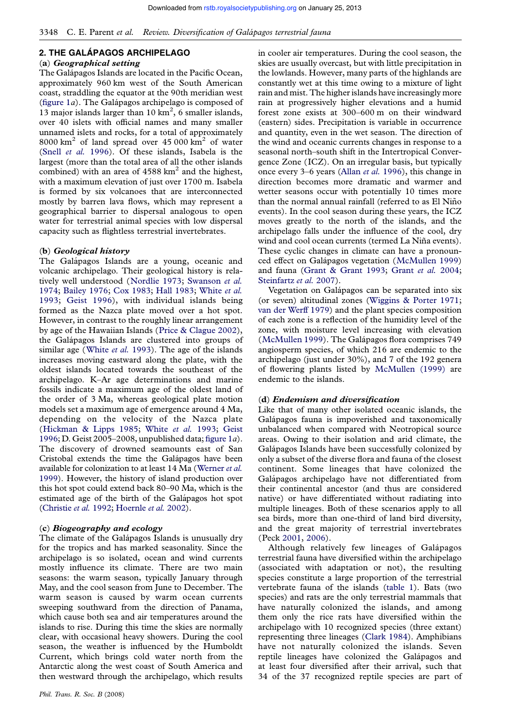# 2. THE GALAPAGOS ARCHIPELAGO

# (a) Geographical setting

The Galápagos Islands are located in the Pacific Ocean, approximately 960 km west of the South American coast, straddling the equator at the 90th meridian west (figure  $1a$ ). The Galápagos archipelago is composed of 13 major islands larger than 10 km<sup>2</sup> , 6 smaller islands, over 40 islets with official names and many smaller unnamed islets and rocks, for a total of approximately 8000 km<sup>2</sup> of land spread over  $45000 \text{ km}^2$  of water (Snell [et al.](#page-14-0) 1996). Of these islands, Isabela is the largest (more than the total area of all the other islands combined) with an area of  $4588 \text{ km}^2$  and the highest, with a maximum elevation of just over 1700 m. Isabela is formed by six volcanoes that are interconnected mostly by barren lava flows, which may represent a geographical barrier to dispersal analogous to open water for terrestrial animal species with low dispersal capacity such as flightless terrestrial invertebrates.

### (b) Geological history

The Galápagos Islands are a young, oceanic and volcanic archipelago. Their geological history is rela-tively well understood ([Nordlie 1973;](#page-14-0) [Swanson](#page-15-0) et al. [1974](#page-15-0); [Bailey 1976](#page-12-0); [Cox 1983;](#page-12-0) [Hall 1983](#page-13-0); [White](#page-15-0) et al. [1993;](#page-15-0) [Geist 1996\)](#page-13-0), with individual islands being formed as the Nazca plate moved over a hot spot. However, in contrast to the roughly linear arrangement by age of the Hawaiian Islands ([Price & Clague 2002\)](#page-14-0), the Gala´pagos Islands are clustered into groups of similar age ([White](#page-15-0) et al. 1993). The age of the islands increases moving eastward along the plate, with the oldest islands located towards the southeast of the archipelago. K–Ar age determinations and marine fossils indicate a maximum age of the oldest land of the order of 3 Ma, whereas geological plate motion models set a maximum age of emergence around 4 Ma, depending on the velocity of the Nazca plate ([Hickman & Lipps 1985](#page-13-0); [White](#page-15-0) et al. 1993; [Geist](#page-13-0) [1996;](#page-13-0) D. Geist 2005–2008, unpublished data; [figure 1](#page-3-0)a). The discovery of drowned seamounts east of San Cristobal extends the time the Galápagos have been available for colonization to at least 14 Ma ([Werner](#page-15-0) et al. [1999\)](#page-15-0). However, the history of island production over this hot spot could extend back 80–90 Ma, which is the estimated age of the birth of the Galápagos hot spot [\(Christie](#page-12-0) et al. 1992; [Hoernle](#page-13-0) et al. 2002).

#### (c) Biogeography and ecology

The climate of the Galápagos Islands is unusually dry for the tropics and has marked seasonality. Since the archipelago is so isolated, ocean and wind currents mostly influence its climate. There are two main seasons: the warm season, typically January through May, and the cool season from June to December. The warm season is caused by warm ocean currents sweeping southward from the direction of Panama, which cause both sea and air temperatures around the islands to rise. During this time the skies are normally clear, with occasional heavy showers. During the cool season, the weather is influenced by the Humboldt Current, which brings cold water north from the Antarctic along the west coast of South America and then westward through the archipelago, which results

in cooler air temperatures. During the cool season, the skies are usually overcast, but with little precipitation in the lowlands. However, many parts of the highlands are constantly wet at this time owing to a mixture of light rain and mist. The higher islands have increasingly more rain at progressively higher elevations and a humid forest zone exists at 300–600 m on their windward (eastern) sides. Precipitation is variable in occurrence and quantity, even in the wet season. The direction of the wind and oceanic currents changes in response to a seasonal north–south shift in the Intertropical Convergence Zone (ICZ). On an irregular basis, but typically once every 3–6 years [\(Allan](#page-12-0) et al. 1996), this change in direction becomes more dramatic and warmer and wetter seasons occur with potentially 10 times more than the normal annual rainfall (referred to as El Niño events). In the cool season during these years, the ICZ moves greatly to the north of the islands, and the archipelago falls under the influence of the cool, dry wind and cool ocean currents (termed La Niña events). These cyclic changes in climate can have a pronoun-ced effect on Galápagos vegetation ([McMullen 1999\)](#page-14-0) and fauna [\(Grant & Grant 1993;](#page-13-0) [Grant](#page-13-0) et al. 2004; [Steinfartz](#page-15-0) et al. 2007).

Vegetation on Galápagos can be separated into six (or seven) altitudinal zones [\(Wiggins & Porter 1971;](#page-15-0) [van der Werff 1979](#page-15-0)) and the plant species composition of each zone is a reflection of the humidity level of the zone, with moisture level increasing with elevation ([McMullen 1999\)](#page-14-0). The Galápagos flora comprises 749 angiosperm species, of which 216 are endemic to the archipelago (just under 30%), and 7 of the 192 genera of flowering plants listed by [McMullen \(1999\)](#page-14-0) are endemic to the islands.

#### (d) Endemism and diversification

Like that of many other isolated oceanic islands, the Galápagos fauna is impoverished and taxonomically unbalanced when compared with Neotropical source areas. Owing to their isolation and arid climate, the Galápagos Islands have been successfully colonized by only a subset of the diverse flora and fauna of the closest continent. Some lineages that have colonized the Galápagos archipelago have not differentiated from their continental ancestor (and thus are considered native) or have differentiated without radiating into multiple lineages. Both of these scenarios apply to all sea birds, more than one-third of land bird diversity, and the great majority of terrestrial invertebrates (Peck [2001,](#page-14-0) [2006](#page-14-0)).

Although relatively few lineages of Galápagos terrestrial fauna have diversified within the archipelago (associated with adaptation or not), the resulting species constitute a large proportion of the terrestrial vertebrate fauna of the islands [\(table 1\)](#page-4-0). Bats (two species) and rats are the only terrestrial mammals that have naturally colonized the islands, and among them only the rice rats have diversified within the archipelago with 10 recognized species (three extant) representing three lineages [\(Clark 1984\)](#page-12-0). Amphibians have not naturally colonized the islands. Seven reptile lineages have colonized the Galápagos and at least four diversified after their arrival, such that 34 of the 37 recognized reptile species are part of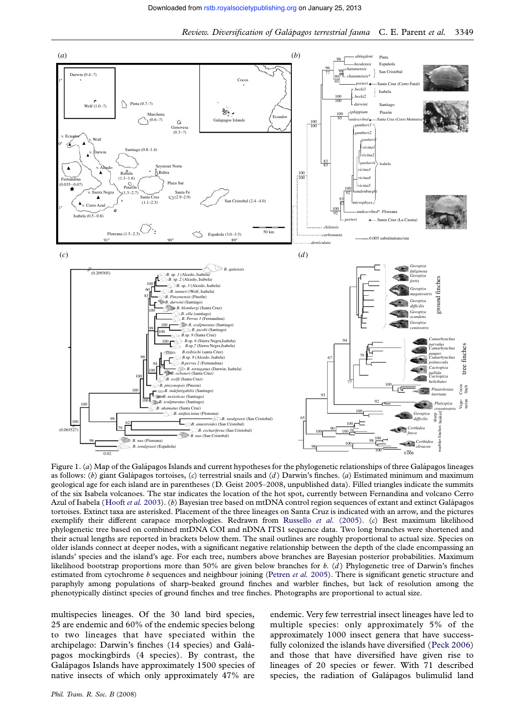

Figure 1. (a) Map of the Galápagos Islands and current hypotheses for the phylogenetic relationships of three Galápagos lineages as follows: (b) giant Galápagos tortoises, (c) terrestrial snails and (d) Darwin's finches. (a) Estimated minimum and maximum geological age for each island are in parentheses (D. Geist 2005–2008, unpublished data). Filled triangles indicate the summits of the six Isabela volcanoes. The star indicates the location of the hot spot, currently between Fernandina and volcano Cerro Azul of Isabela ([Hooft](#page-13-0) et al. 2003). (b) Bayesian tree based on mtDNA control region sequences of extant and extinct Galápagos tortoises. Extinct taxa are asterisked. Placement of the three lineages on Santa Cruz is indicated with an arrow, and the pictures exemplify their different carapace morphologies. Redrawn from [Russello](#page-14-0) et al. (2005). (c) Best maximum likelihood phylogenetic tree based on combined mtDNA COI and nDNA ITS1 sequence data. Two long branches were shortened and their actual lengths are reported in brackets below them. The snail outlines are roughly proportional to actual size. Species on older islands connect at deeper nodes, with a significant negative relationship between the depth of the clade encompassing an islands' species and the island's age. For each tree, numbers above branches are Bayesian posterior probabilities. Maximum likelihood bootstrap proportions more than 50% are given below branches for  $b$ . (d) Phylogenetic tree of Darwin's finches estimated from cytochrome b sequences and neighbour joining [\(Petren](#page-14-0) et al. 2005). There is significant genetic structure and paraphyly among populations of sharp-beaked ground finches and warbler finches, but lack of resolution among the phenotypically distinct species of ground finches and tree finches. Photographs are proportional to actual size.

<span id="page-3-0"></span>multispecies lineages. Of the 30 land bird species, 25 are endemic and 60% of the endemic species belong to two lineages that have speciated within the archipelago: Darwin's finches (14 species) and Galápagos mockingbirds (4 species). By contrast, the Galápagos Islands have approximately 1500 species of native insects of which only approximately 47% are

endemic. Very few terrestrial insect lineages have led to multiple species: only approximately 5% of the approximately 1000 insect genera that have successfully colonized the islands have diversified ([Peck 2006\)](#page-14-0) and those that have diversified have given rise to lineages of 20 species or fewer. With 71 described species, the radiation of Galápagos bulimulid land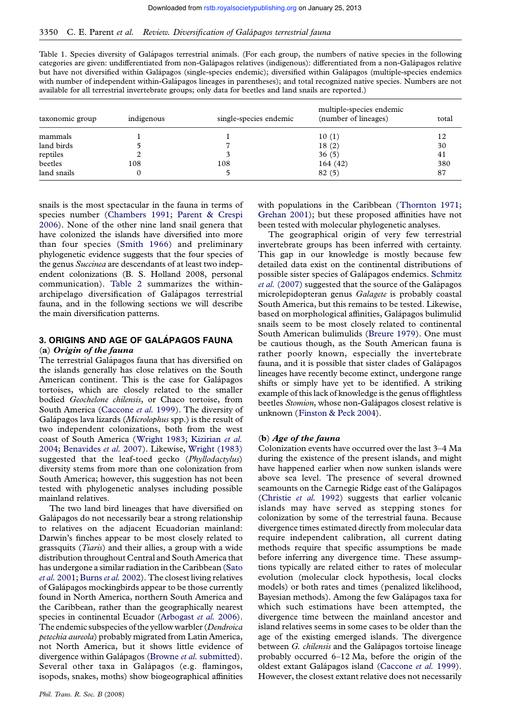Table 1. Species diversity of Galápagos terrestrial animals. (For each group, the numbers of native species in the following categories are given: undifferentiated from non-Galápagos relatives (indigenous): differentiated from a non-Galápagos relative but have not diversified within Galápagos (single-species endemic); diversified within Galápagos (multiple-species endemics with number of independent within-Galápagos lineages in parentheses); and total recognized native species. Numbers are not available for all terrestrial invertebrate groups; only data for beetles and land snails are reported.)

| taxonomic group | indigenous | single-species endemic | multiple-species endemic<br>(number of lineages) | total |  |
|-----------------|------------|------------------------|--------------------------------------------------|-------|--|
| mammals         |            |                        | 10(1)                                            | 12    |  |
| land birds      |            |                        | 18(2)                                            | 30    |  |
| reptiles        |            |                        | 36(5)                                            | 41    |  |
| beetles         | 108        | 108                    | 164(42)                                          | 380   |  |
| land snails     |            |                        | 82(5)                                            | 87    |  |

snails is the most spectacular in the fauna in terms of species number ([Chambers 1991](#page-12-0); [Parent & Crespi](#page-14-0) [2006](#page-14-0)). None of the other nine land snail genera that have colonized the islands have diversified into more than four species [\(Smith 1966\)](#page-14-0) and preliminary phylogenetic evidence suggests that the four species of the genus Succinea are descendants of at least two independent colonizations (B. S. Holland 2008, personal communication). [Table 2](#page-5-0) summarizes the withinarchipelago diversification of Galápagos terrestrial fauna, and in the following sections we will describe the main diversification patterns.

# 3. ORIGINS AND AGE OF GALAPAGOS FAUNA

#### (a) Origin of the fauna

The terrestrial Galápagos fauna that has diversified on the islands generally has close relatives on the South American continent. This is the case for Galápagos tortoises, which are closely related to the smaller bodied Geochelone chilensis, or Chaco tortoise, from South America [\(Caccone](#page-12-0) et al. 1999). The diversity of Galápagos lava lizards (Microlophus spp.) is the result of two independent colonizations, both from the west coast of South America ([Wright 1983;](#page-15-0) [Kizirian](#page-13-0) et al. [2004](#page-13-0); [Benavides](#page-12-0) et al. 2007). Likewise, [Wright \(1983\)](#page-15-0) suggested that the leaf-toed gecko (Phyllodactylus) diversity stems from more than one colonization from South America; however, this suggestion has not been tested with phylogenetic analyses including possible mainland relatives.

<span id="page-4-0"></span>The two land bird lineages that have diversified on Galápagos do not necessarily bear a strong relationship to relatives on the adjacent Ecuadorian mainland: Darwin's finches appear to be most closely related to grassquits (Tiaris) and their allies, a group with a wide distribution throughout Central and South America that has undergone a similar radiation in the Caribbean [\(Sato](#page-14-0) et al. [2001](#page-14-0); [Burns](#page-12-0) et al. 2002). The closest living relatives of Gala´pagos mockingbirds appear to be those currently found in North America, northern South America and the Caribbean, rather than the geographically nearest species in continental Ecuador [\(Arbogast](#page-12-0) et al. 2006). The endemic subspecies of the yellow warbler (Dendroica petechia aureola) probably migrated from Latin America, not North America, but it shows little evidence of divergence within Galápagos (Browne et al. [submitted\)](#page-12-0). Several other taxa in Galápagos (e.g. flamingos, isopods, snakes, moths) show biogeographical affinities

with populations in the Caribbean ([Thornton 1971;](#page-15-0) [Grehan 2001\)](#page-13-0); but these proposed affinities have not been tested with molecular phylogenetic analyses.

The geographical origin of very few terrestrial invertebrate groups has been inferred with certainty. This gap in our knowledge is mostly because few detailed data exist on the continental distributions of possible sister species of Galápagos endemics. [Schmitz](#page-14-0) et al. [\(2007\)](#page-14-0) suggested that the source of the Galápagos microlepidopteran genus Galagete is probably coastal South America, but this remains to be tested. Likewise, based on morphological affinities, Galápagos bulimulid snails seem to be most closely related to continental South American bulimulids [\(Breure 1979](#page-12-0)). One must be cautious though, as the South American fauna is rather poorly known, especially the invertebrate fauna, and it is possible that sister clades of Galápagos lineages have recently become extinct, undergone range shifts or simply have yet to be identified. A striking example of this lack of knowledge is the genus of flightless beetles *Stomion*, whose non-Galápagos closest relative is unknown ([Finston & Peck 2004\)](#page-13-0).

### (b) Age of the fauna

Colonization events have occurred over the last 3–4 Ma during the existence of the present islands, and might have happened earlier when now sunken islands were above sea level. The presence of several drowned seamounts on the Carnegie Ridge east of the Galápagos [\(Christie](#page-12-0) et al. 1992) suggests that earlier volcanic islands may have served as stepping stones for colonization by some of the terrestrial fauna. Because divergence times estimated directly from molecular data require independent calibration, all current dating methods require that specific assumptions be made before inferring any divergence time. These assumptions typically are related either to rates of molecular evolution (molecular clock hypothesis, local clocks models) or both rates and times (penalized likelihood, Bayesian methods). Among the few Galápagos taxa for which such estimations have been attempted, the divergence time between the mainland ancestor and island relatives seems in some cases to be older than the age of the existing emerged islands. The divergence between G. chilensis and the Galápagos tortoise lineage probably occurred 6–12 Ma, before the origin of the oldest extant Galápagos island ([Caccone](#page-12-0) et al. 1999). However, the closest extant relative does not necessarily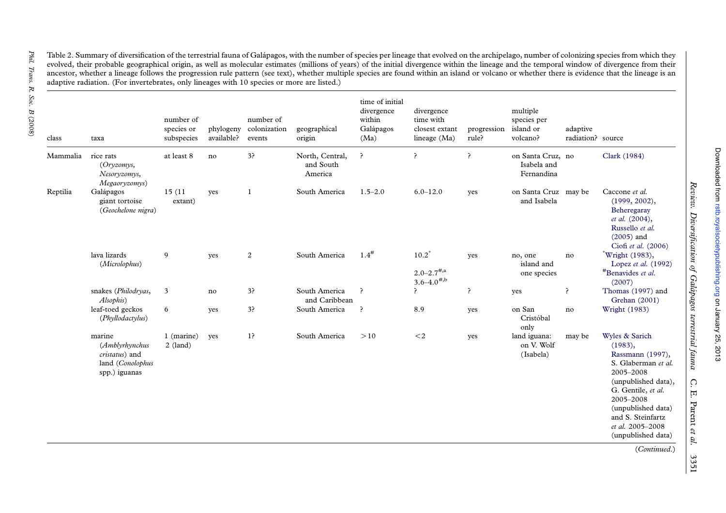Table 2. Summary of diversification of the terrestrial fauna of Galápagos, with the number of species per lineage that evolved on the archipelago, number of colonizing species from which they evolved, their probable geographical origin, as well as molecular estimates (millions of years) of the initial divergence within the lineage and the temporal window of divergence from their ancestor, whether a lineage follows the progression rule pattern (see text), whether multiple species are found within an island or volcano or whether there is evidence that the lineage is an adaptive radiation. (For invertebrates, only lineages with 10 species or more are listed.)

<span id="page-5-0"></span>

| class    | taxa                                                                            | number of<br>species or<br>subspecies | phylogeny<br>available? | number of<br>colonization<br>events | geographical<br>origin                  | time of initial<br>divergence<br>within<br>Galápagos<br>(Ma) | divergence<br>time with<br>closest extant<br>lineage (Ma)            | progression<br>rule? | multiple<br>species per<br>island or<br>volcano? | adaptive<br>radiation? source |                                                                                                                                                                                                                                  |
|----------|---------------------------------------------------------------------------------|---------------------------------------|-------------------------|-------------------------------------|-----------------------------------------|--------------------------------------------------------------|----------------------------------------------------------------------|----------------------|--------------------------------------------------|-------------------------------|----------------------------------------------------------------------------------------------------------------------------------------------------------------------------------------------------------------------------------|
| Mammalia | rice rats<br>(Oryzomys,<br>Nesoryzomys,<br>Megaoryzomys)                        | at least 8                            | no                      | 3?                                  | North, Central,<br>and South<br>America | $\cdot$                                                      | ?                                                                    | 3                    | on Santa Cruz, no<br>Isabela and<br>Fernandina   |                               | Clark (1984)                                                                                                                                                                                                                     |
| Reptilia | Galápagos<br>giant tortoise<br>(Geochelone nigra)                               | 15(11)<br>extant)                     | yes                     | $\mathbf{1}$                        | South America                           | $1.5 - 2.0$                                                  | $6.0 - 12.0$                                                         | yes                  | on Santa Cruz may be<br>and Isabela              |                               | Caccone et al.<br>(1999, 2002),<br>Beheregaray<br>et al. (2004),<br>Russello et al.<br>$(2005)$ and<br>Ciofi et al. (2006)                                                                                                       |
|          | lava lizards<br>(Microlophus)                                                   | 9                                     | yes                     | 2                                   | South America                           | $1.4^{#}$                                                    | $10.2^*$<br>$2.0 - 2.7$ <sup>#,a</sup><br>$3.6 - 4.0$ <sup>#,b</sup> | yes                  | no, one<br>island and<br>one species             | no                            | Wright (1983),<br>Lopez et al. (1992)<br>#Benavides et al.<br>(2007)                                                                                                                                                             |
|          | snakes (Philodryas,<br>Alsophis)                                                | 3                                     | no                      | 3?                                  | South America<br>and Caribbean          | $\cdot$                                                      | P                                                                    | 3                    | yes                                              | ?                             | Thomas (1997) and<br>Grehan (2001)                                                                                                                                                                                               |
|          | leaf-toed geckos<br>(Phyllodactylus)                                            | 6                                     | yes                     | 3?                                  | South America                           | $\cdot$                                                      | 8.9                                                                  | yes                  | on San<br>Cristóbal<br>only                      | no                            | Wright (1983)                                                                                                                                                                                                                    |
|          | marine<br>(Amblyrhynchus<br>cristatus) and<br>land (Conolophus<br>spp.) iguanas | 1 (marine)<br>$2$ (land)              | ves                     | 1 <sup>5</sup>                      | South America                           | >10                                                          | $\lt2$                                                               | yes                  | land iguana:<br>on V. Wolf<br>(Isabela)          | may be                        | Wyles & Sarich<br>(1983),<br>Rassmann (1997),<br>S. Glaberman et al.<br>2005-2008<br>(unpublished data),<br>G. Gentile, et al.<br>2005-2008<br>(unpublished data)<br>and S. Steinfartz<br>et al. 2005-2008<br>(unpublished data) |

Review.

Diversification

of Gala´pagos

terrestrial

fauna

C.

E. Parent

et al.

3351

(Continued.)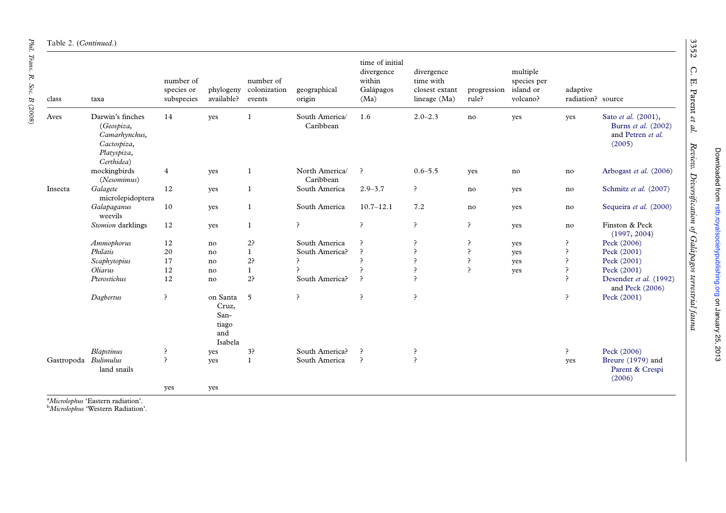| Table 2. (Continued.) |  |
|-----------------------|--|
|-----------------------|--|

| class                | taxa                                                                          | number of<br>species or<br>subspecies | phylogeny<br>available?                              | number of<br>colonization<br>events | geographical<br>origin      | time of initial<br>divergence<br>within<br>Galápagos<br>(Ma) | divergence<br>time with<br>closest extant<br>lineage (Ma) | progression<br>rule? | multiple<br>species per<br>island or<br>volcano? | adaptive<br>radiation? source |                                                                           |
|----------------------|-------------------------------------------------------------------------------|---------------------------------------|------------------------------------------------------|-------------------------------------|-----------------------------|--------------------------------------------------------------|-----------------------------------------------------------|----------------------|--------------------------------------------------|-------------------------------|---------------------------------------------------------------------------|
| Aves                 | Darwin's finches<br>(Geospiza,<br>Camarhynchus,<br>Cactospiza,<br>Platyspiza, | 14                                    | yes                                                  | $\mathbf{1}$                        | South America/<br>Caribbean | 1.6                                                          | $2.0 - 2.3$                                               | no                   | yes                                              | yes                           | Sato et al. (2001),<br>Burns et al. (2002)<br>and Petren et al.<br>(2005) |
|                      | Certhidea)                                                                    |                                       |                                                      |                                     | North America/              | $\cdot$                                                      | $0.6 - 5.5$                                               |                      |                                                  |                               |                                                                           |
|                      | mockingbirds<br>(Nesomimus)                                                   | $\bf{4}$                              | yes                                                  | $\mathbf{1}$                        | Caribbean                   |                                                              |                                                           | yes                  | no                                               | no                            | Arbogast et al. (2006)                                                    |
| Insecta              | Galagete<br>microlepidoptera                                                  | 12                                    | yes                                                  | $\mathbf{1}$                        | South America               | $2.9 - 3.7$                                                  | 3                                                         | no                   | yes                                              | no                            | Schmitz et al. (2007)                                                     |
|                      | Galapaganus<br>weevils                                                        | 10                                    | yes                                                  | $\mathbf{1}$                        | South America               | $10.7 - 12.1$                                                | 7.2                                                       | no                   | yes                                              | no                            | Sequeira et al. (2000)                                                    |
|                      | Stomion darklings                                                             | 12                                    | yes                                                  | $\mathbf{1}$                        | 3.                          | 3                                                            | 3                                                         | ?                    | yes                                              | no                            | Finston & Peck<br>(1997, 2004)                                            |
|                      | Ammophorus                                                                    | 12                                    | no                                                   | 2?                                  | South America               | ?                                                            | 3                                                         | ?                    | yes                                              | P                             | Peck (2006)                                                               |
|                      | Philatis                                                                      | 20                                    | no                                                   | $\mathbf{1}$                        | South America?              | $\rightarrow$                                                | ?                                                         | ?                    | yes                                              | P                             | Peck (2001)                                                               |
|                      | Scaphytopius                                                                  | 17                                    | no                                                   | 2?                                  | P                           |                                                              | $\overline{ }$                                            | $\mathop{?}$         | yes                                              | Ç                             | Peck (2001)                                                               |
|                      | Oliarus                                                                       | 12                                    | no                                                   | $\mathbf{1}$                        | ς                           |                                                              | $\overline{?}$                                            | ?                    | yes                                              | Ç                             | Peck (2001)                                                               |
|                      | Pterostichus                                                                  | 12                                    | no                                                   | 2?                                  | South America?              | $\overline{\phantom{0}}$                                     | ?                                                         |                      |                                                  | ζ                             | Desender et al. (1992)<br>and Peck (2006)                                 |
|                      | Dagbertus                                                                     | ?                                     | on Santa<br>Cruz,<br>San-<br>tiago<br>and<br>Isabela | 5                                   | $\cdot$                     | $\rightarrow$                                                | $\cdot$                                                   |                      |                                                  | ?                             | Peck (2001)                                                               |
|                      | Blapstinus                                                                    | ?                                     | yes                                                  | 3?                                  | South America?              | 3                                                            | 3                                                         |                      |                                                  | ʻ.                            | Peck (2006)                                                               |
| Gastropoda Bulimulus | land snails                                                                   | $\geq$                                | yes                                                  | $\mathbf{1}$                        | South America               | $\geq$                                                       | $\cdot$                                                   |                      |                                                  | yes                           | Breure (1979) and<br>Parent & Crespi<br>(2006)                            |
|                      |                                                                               | yes                                   | yes                                                  |                                     |                             |                                                              |                                                           |                      |                                                  |                               |                                                                           |

<sup>a</sup>Microlophus 'Eastern radiation'.<br><sup>b</sup>Microlophus 'Western Radiation'.

3352

ີດ.<br>. E.

Parent

et al.

Review.

Diversification

of Gala´pagos

terrestrial

fauna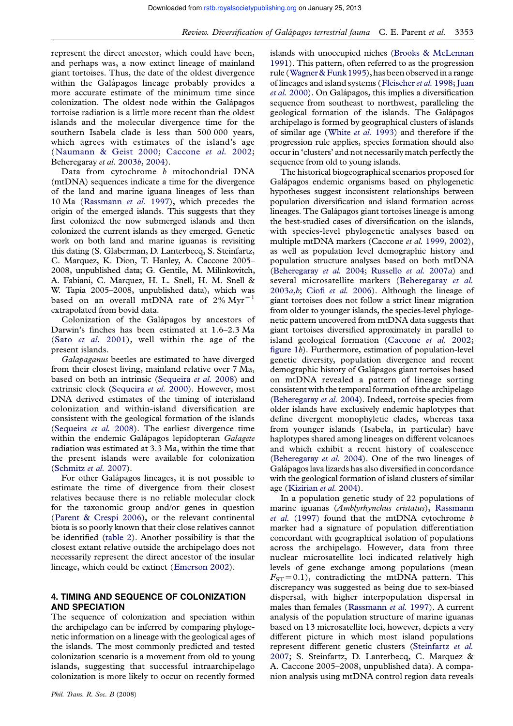represent the direct ancestor, which could have been, and perhaps was, a now extinct lineage of mainland giant tortoises. Thus, the date of the oldest divergence within the Galápagos lineage probably provides a more accurate estimate of the minimum time since colonization. The oldest node within the Galápagos tortoise radiation is a little more recent than the oldest islands and the molecular divergence time for the southern Isabela clade is less than 500 000 years, which agrees with estimates of the island's age ([Naumann & Geist 2000](#page-14-0); [Caccone](#page-12-0) et al. 2002; Beheregaray et al. [2003](#page-12-0)b, [2004](#page-12-0)).

Data from cytochrome *b* mitochondrial DNA (mtDNA) sequences indicate a time for the divergence of the land and marine iguana lineages of less than 10 Ma ([Rassmann](#page-14-0) et al. 1997), which precedes the origin of the emerged islands. This suggests that they first colonized the now submerged islands and then colonized the current islands as they emerged. Genetic work on both land and marine iguanas is revisiting this dating (S. Glaberman, D. Lanterbecq, S. Steinfartz, C. Marquez, K. Dion, T. Hanley, A. Caccone 2005– 2008, unpublished data; G. Gentile, M. Milinkovitch, A. Fabiani, C. Marquez, H. L. Snell, H. M. Snell & W. Tapia 2005–2008, unpublished data), which was based on an overall mtDNA rate of  $2\% \text{ Myr}^{-1}$ extrapolated from bovid data.

Colonization of the Galápagos by ancestors of Darwin's finches has been estimated at 1.6–2.3 Ma (Sato [et al.](#page-14-0) 2001), well within the age of the present islands.

Galapaganus beetles are estimated to have diverged from their closest living, mainland relative over 7 Ma, based on both an intrinsic [\(Sequeira](#page-14-0) et al. 2008) and extrinsic clock ([Sequeira](#page-14-0) et al. 2000). However, most DNA derived estimates of the timing of interisland colonization and within-island diversification are consistent with the geological formation of the islands [\(Sequeira](#page-14-0) et al. 2008). The earliest divergence time within the endemic Galápagos lepidopteran Galagete radiation was estimated at 3.3 Ma, within the time that the present islands were available for colonization [\(Schmitz](#page-14-0) et al. 2007).

For other Galápagos lineages, it is not possible to estimate the time of divergence from their closest relatives because there is no reliable molecular clock for the taxonomic group and/or genes in question ([Parent & Crespi 2006](#page-14-0)), or the relevant continental biota is so poorly known that their close relatives cannot be identified [\(table 2\)](#page-5-0). Another possibility is that the closest extant relative outside the archipelago does not necessarily represent the direct ancestor of the insular lineage, which could be extinct ([Emerson 2002\)](#page-13-0).

# 4. TIMING AND SEQUENCE OF COLONIZATION AND SPECIATION

The sequence of colonization and speciation within the archipelago can be inferred by comparing phylogenetic information on a lineage with the geological ages of the islands. The most commonly predicted and tested colonization scenario is a movement from old to young islands, suggesting that successful intraarchipelago colonization is more likely to occur on recently formed

islands with unoccupied niches ([Brooks & McLennan](#page-12-0) [1991\)](#page-12-0). This pattern, often referred to as the progression rule ([Wagner & Funk 1995\)](#page-15-0), has been observed in a range of lineages and island systems ([Fleischer](#page-13-0) et al. 1998; [Juan](#page-13-0) et al. [2000](#page-13-0)). On Galápagos, this implies a diversification sequence from southeast to northwest, paralleling the geological formation of the islands. The Galápagos archipelago is formed by geographical clusters of islands of similar age ([White](#page-15-0) et al. 1993) and therefore if the progression rule applies, species formation should also occur in 'clusters' and not necessarily match perfectly the sequence from old to young islands.

The historical biogeographical scenarios proposed for Galápagos endemic organisms based on phylogenetic hypotheses suggest inconsistent relationships between population diversification and island formation across lineages. The Galápagos giant tortoises lineage is among the best-studied cases of diversification on the islands, with species-level phylogenetic analyses based on multiple mtDNA markers (Caccone et al. [1999](#page-12-0), [2002\)](#page-12-0), as well as population level demographic history and population structure analyses based on both mtDNA [\(Beheregaray](#page-12-0) et al. 2004; [Russello](#page-14-0) et al. 2007a) and several microsatellite markers [\(Beheregaray](#page-12-0) et al.  $2003a,b$  $2003a,b$  $2003a,b$ ; Ciofi [et al.](#page-12-0) 2006). Although the lineage of giant tortoises does not follow a strict linear migration from older to younger islands, the species-level phylogenetic pattern uncovered from mtDNA data suggests that giant tortoises diversified approximately in parallel to island geological formation ([Caccone](#page-12-0) et al. 2002; [figure 1](#page-3-0)b). Furthermore, estimation of population-level genetic diversity, population divergence and recent demographic history of Galápagos giant tortoises based on mtDNA revealed a pattern of lineage sorting consistent with the temporal formation of the archipelago [\(Beheregaray](#page-12-0) et al. 2004). Indeed, tortoise species from older islands have exclusively endemic haplotypes that define divergent monophyletic clades, whereas taxa from younger islands (Isabela, in particular) have haplotypes shared among lineages on different volcanoes and which exhibit a recent history of coalescence [\(Beheregaray](#page-12-0) et al. 2004). One of the two lineages of Galápagos lava lizards has also diversified in concordance with the geological formation of island clusters of similar age ([Kizirian](#page-13-0) et al. 2004).

In a population genetic study of 22 populations of marine iguanas (Amblyrhynchus cristatus), [Rassmann](#page-14-0) et al. [\(1997\)](#page-14-0) found that the mtDNA cytochrome  $b$ marker had a signature of population differentiation concordant with geographical isolation of populations across the archipelago. However, data from three nuclear microsatellite loci indicated relatively high levels of gene exchange among populations (mean  $F_{ST}$ =0.1), contradicting the mtDNA pattern. This discrepancy was suggested as being due to sex-biased dispersal, with higher interpopulation dispersal in males than females ([Rassmann](#page-14-0) et al. 1997). A current analysis of the population structure of marine iguanas based on 13 microsatellite loci, however, depicts a very different picture in which most island populations represent different genetic clusters [\(Steinfartz](#page-15-0) et al. [2007](#page-15-0); S. Steinfartz, D. Lanterbecq, C. Marquez & A. Caccone 2005–2008, unpublished data). A companion analysis using mtDNA control region data reveals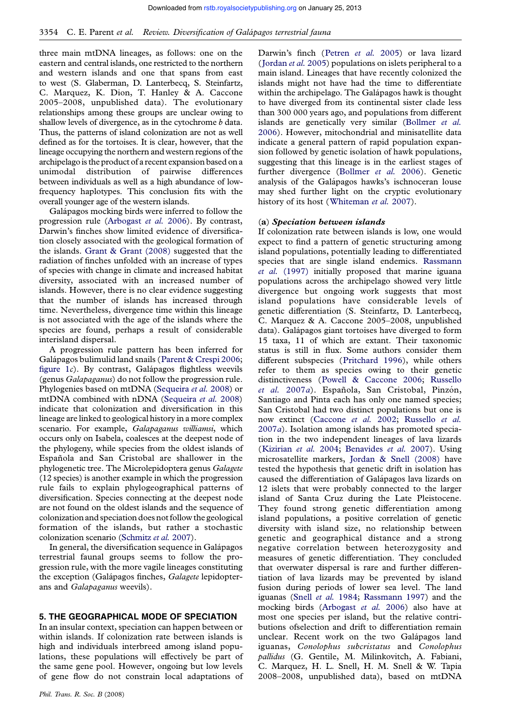three main mtDNA lineages, as follows: one on the eastern and central islands, one restricted to the northern and western islands and one that spans from east to west (S. Glaberman, D. Lanterbecq, S. Steinfartz, C. Marquez, K. Dion, T. Hanley & A. Caccone 2005–2008, unpublished data). The evolutionary relationships among these groups are unclear owing to shallow levels of divergence, as in the cytochrome *b* data. Thus, the patterns of island colonization are not as well defined as for the tortoises. It is clear, however, that the lineage occupying the northern and western regions of the archipelago is the product of a recent expansion based on a unimodal distribution of pairwise differences between individuals as well as a high abundance of lowfrequency haplotypes. This conclusion fits with the overall younger age of the western islands.

Galápagos mocking birds were inferred to follow the progression rule ([Arbogast](#page-12-0) et al. 2006). By contrast, Darwin's finches show limited evidence of diversification closely associated with the geological formation of the islands. [Grant & Grant \(2008\)](#page-13-0) suggested that the radiation of finches unfolded with an increase of types of species with change in climate and increased habitat diversity, associated with an increased number of islands. However, there is no clear evidence suggesting that the number of islands has increased through time. Nevertheless, divergence time within this lineage is not associated with the age of the islands where the species are found, perhaps a result of considerable interisland dispersal.

A progression rule pattern has been inferred for Galápagos bulimulid land snails ([Parent & Crespi 2006;](#page-14-0) figure  $1c$ ). By contrast, Galápagos flightless weevils (genus Galapaganus) do not follow the progression rule. Phylogenies based on mtDNA ([Sequeira](#page-14-0) et al. 2008) or mtDNA combined with nDNA [\(Sequeira](#page-14-0) et al. 2008) indicate that colonization and diversification in this lineage are linked to geological history in a more complex scenario. For example, Galapaganus williamsi, which occurs only on Isabela, coalesces at the deepest node of the phylogeny, while species from the oldest islands of Española and San Cristobal are shallower in the phylogenetic tree. The Microlepidoptera genus Galagete (12 species) is another example in which the progression rule fails to explain phylogeographical patterns of diversification. Species connecting at the deepest node are not found on the oldest islands and the sequence of colonization and speciation does not follow the geological formation of the islands, but rather a stochastic colonization scenario ([Schmitz](#page-14-0) et al. 2007).

In general, the diversification sequence in Galápagos terrestrial faunal groups seems to follow the progression rule, with the more vagile lineages constituting the exception (Galápagos finches, Galagete lepidopterans and Galapaganus weevils).

# 5. THE GEOGRAPHICAL MODE OF SPECIATION

In an insular context, speciation can happen between or within islands. If colonization rate between islands is high and individuals interbreed among island populations, these populations will effectively be part of the same gene pool. However, ongoing but low levels of gene flow do not constrain local adaptations of

Darwin's finch ([Petren](#page-14-0) et al. 2005) or lava lizard ([Jordan](#page-13-0) et al. 2005) populations on islets peripheral to a main island. Lineages that have recently colonized the islands might not have had the time to differentiate within the archipelago. The Galápagos hawk is thought to have diverged from its continental sister clade less than 300 000 years ago, and populations from different islands are genetically very similar ([Bollmer](#page-12-0) et al. [2006](#page-12-0)). However, mitochondrial and minisatellite data indicate a general pattern of rapid population expansion followed by genetic isolation of hawk populations, suggesting that this lineage is in the earliest stages of further divergence ([Bollmer](#page-12-0) et al. 2006). Genetic analysis of the Galápagos hawks's ischnoceran louse may shed further light on the cryptic evolutionary history of its host ([Whiteman](#page-15-0) et al. 2007).

#### (a) Speciation between islands

If colonization rate between islands is low, one would expect to find a pattern of genetic structuring among island populations, potentially leading to differentiated species that are single island endemics. [Rassmann](#page-14-0) et al. [\(1997\)](#page-14-0) initially proposed that marine iguana populations across the archipelago showed very little divergence but ongoing work suggests that most island populations have considerable levels of genetic differentiation (S. Steinfartz, D. Lanterbecq, C. Marquez & A. Caccone 2005–2008, unpublished data). Galápagos giant tortoises have diverged to form 15 taxa, 11 of which are extant. Their taxonomic status is still in flux. Some authors consider them different subspecies ([Pritchard 1996\)](#page-14-0), while others refer to them as species owing to their genetic distinctiveness ([Powell & Caccone 2006](#page-14-0); [Russello](#page-14-0)  $et \ al. 2007a$ ). Española, San Cristobal, Pinzón, Santiago and Pinta each has only one named species; San Cristobal had two distinct populations but one is now extinct ([Caccone](#page-12-0) et al. 2002; [Russello](#page-14-0) et al. [2007](#page-14-0)a). Isolation among islands has promoted speciation in the two independent lineages of lava lizards ([Kizirian](#page-13-0) et al. 2004; [Benavides](#page-12-0) et al. 2007). Using microsatellite markers, [Jordan & Snell \(2008\)](#page-13-0) have tested the hypothesis that genetic drift in isolation has caused the differentiation of Gala´pagos lava lizards on 12 islets that were probably connected to the larger island of Santa Cruz during the Late Pleistocene. They found strong genetic differentiation among island populations, a positive correlation of genetic diversity with island size, no relationship between genetic and geographical distance and a strong negative correlation between heterozygosity and measures of genetic differentiation. They concluded that overwater dispersal is rare and further differentiation of lava lizards may be prevented by island fusion during periods of lower sea level. The land iguanas (Snell et al. [1984;](#page-14-0) [Rassmann 1997](#page-14-0)) and the mocking birds ([Arbogast](#page-12-0) et al. 2006) also have at most one species per island, but the relative contributions ofselection and drift to differentiation remain unclear. Recent work on the two Galápagos land iguanas, Conolophus subcristatus and Conolophus pallidus (G. Gentile, M. Milinkovitch, A. Fabiani, C. Marquez, H. L. Snell, H. M. Snell & W. Tapia 2008–2008, unpublished data), based on mtDNA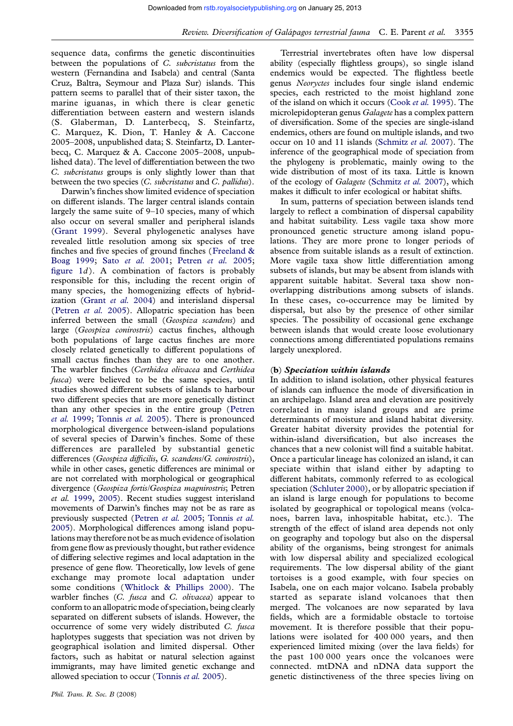sequence data, confirms the genetic discontinuities between the populations of C. subcristatus from the western (Fernandina and Isabela) and central (Santa Cruz, Baltra, Seymour and Plaza Sur) islands. This pattern seems to parallel that of their sister taxon, the marine iguanas, in which there is clear genetic differentiation between eastern and western islands (S. Glaberman, D. Lanterbecq, S. Steinfartz, C. Marquez, K. Dion, T. Hanley & A. Caccone 2005–2008, unpublished data; S. Steinfartz, D. Lanterbecq, C. Marquez & A. Caccone 2005–2008, unpublished data). The level of differentiation between the two C. subcristatus groups is only slightly lower than that between the two species (C. subcristatus and C. pallidus).

Darwin's finches show limited evidence of speciation on different islands. The larger central islands contain largely the same suite of 9–10 species, many of which also occur on several smaller and peripheral islands [\(Grant 1999\)](#page-13-0). Several phylogenetic analyses have revealed little resolution among six species of tree finches and five species of ground finches ([Freeland &](#page-13-0) [Boag 1999;](#page-13-0) Sato [et al.](#page-14-0) 2001; [Petren](#page-14-0) et al. 2005; figure  $1d$ ). A combination of factors is probably responsible for this, including the recent origin of many species, the homogenizing effects of hybrid-ization ([Grant](#page-13-0) et al. 2004) and interisland dispersal ([Petren](#page-14-0) et al. 2005). Allopatric speciation has been inferred between the small (Geospiza scandens) and large (Geospiza conirostris) cactus finches, although both populations of large cactus finches are more closely related genetically to different populations of small cactus finches than they are to one another. The warbler finches (Certhidea olivacea and Certhidea fusca) were believed to be the same species, until studies showed different subsets of islands to harbour two different species that are more genetically distinct than any other species in the entire group ([Petren](#page-14-0) et al. [1999;](#page-14-0) [Tonnis](#page-15-0) et al. 2005). There is pronounced morphological divergence between-island populations of several species of Darwin's finches. Some of these differences are paralleled by substantial genetic differences (Geospiza difficilis, G. scandens/G. conirostris), while in other cases, genetic differences are minimal or are not correlated with morphological or geographical divergence (Geospiza fortis/Geospiza magnirostris; Petren et al. [1999,](#page-14-0) [2005\)](#page-14-0). Recent studies suggest interisland movements of Darwin's finches may not be as rare as previously suspected ([Petren](#page-14-0) et al. 2005; [Tonnis](#page-15-0) et al. [2005\)](#page-15-0). Morphological differences among island populations may therefore not be as much evidence of isolation from gene flow as previously thought, but rather evidence of differing selective regimes and local adaptation in the presence of gene flow. Theoretically, low levels of gene exchange may promote local adaptation under some conditions ([Whitlock & Phillips 2000\)](#page-15-0). The warbler finches (C. fusca and C. olivacea) appear to conform to an allopatric mode of speciation, being clearly separated on different subsets of islands. However, the occurrence of some very widely distributed C. fusca haplotypes suggests that speciation was not driven by geographical isolation and limited dispersal. Other factors, such as habitat or natural selection against immigrants, may have limited genetic exchange and allowed speciation to occur ([Tonnis](#page-15-0) et al. 2005).

Terrestrial invertebrates often have low dispersal ability (especially flightless groups), so single island endemics would be expected. The flightless beetle genus Neoryctes includes four single island endemic species, each restricted to the moist highland zone of the island on which it occurs [\(Cook](#page-12-0) et al. 1995). The microlepidopteran genus Galagete has a complex pattern of diversification. Some of the species are single-island endemics, others are found on multiple islands, and two occur on 10 and 11 islands ([Schmitz](#page-14-0) et al. 2007). The inference of the geographical mode of speciation from the phylogeny is problematic, mainly owing to the wide distribution of most of its taxa. Little is known of the ecology of Galagete ([Schmitz](#page-14-0) et al. 2007), which makes it difficult to infer ecological or habitat shifts.

In sum, patterns of speciation between islands tend largely to reflect a combination of dispersal capability and habitat suitability. Less vagile taxa show more pronounced genetic structure among island populations. They are more prone to longer periods of absence from suitable islands as a result of extinction. More vagile taxa show little differentiation among subsets of islands, but may be absent from islands with apparent suitable habitat. Several taxa show nonoverlapping distributions among subsets of islands. In these cases, co-occurrence may be limited by dispersal, but also by the presence of other similar species. The possibility of occasional gene exchange between islands that would create loose evolutionary connections among differentiated populations remains largely unexplored.

#### (b) Speciation within islands

In addition to island isolation, other physical features of islands can influence the mode of diversification in an archipelago. Island area and elevation are positively correlated in many island groups and are prime determinants of moisture and island habitat diversity. Greater habitat diversity provides the potential for within-island diversification, but also increases the chances that a new colonist will find a suitable habitat. Once a particular lineage has colonized an island, it can speciate within that island either by adapting to different habitats, commonly referred to as ecological speciation ([Schluter 2000](#page-14-0)), or by allopatric speciation if an island is large enough for populations to become isolated by geographical or topological means (volcanoes, barren lava, inhospitable habitat, etc.). The strength of the effect of island area depends not only on geography and topology but also on the dispersal ability of the organisms, being strongest for animals with low dispersal ability and specialized ecological requirements. The low dispersal ability of the giant tortoises is a good example, with four species on Isabela, one on each major volcano. Isabela probably started as separate island volcanoes that then merged. The volcanoes are now separated by lava fields, which are a formidable obstacle to tortoise movement. It is therefore possible that their populations were isolated for 400 000 years, and then experienced limited mixing (over the lava fields) for the past 100 000 years once the volcanoes were connected. mtDNA and nDNA data support the genetic distinctiveness of the three species living on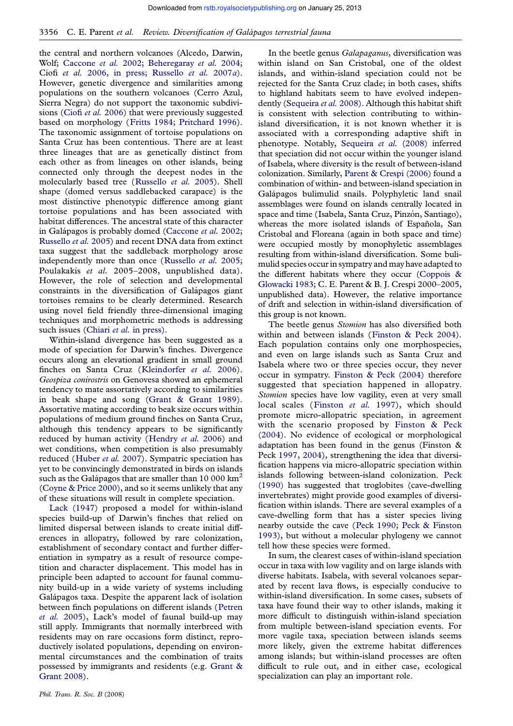the central and northern volcanoes (Alcedo, Darwin, Wolf; [Caccone](#page-12-0) et al. 2002; [Beheregaray](#page-12-0) et al. 2004; Ciofi et al. [2006](#page-12-0), [in press](#page-12-0); [Russello](#page-14-0) et al. 2007a). However, genetic divergence and similarities among populations on the southern volcanoes (Cerro Azul, Sierra Negra) do not support the taxonomic subdivi-sions (Ciofi et al. [2006](#page-12-0)) that were previously suggested based on morphology ([Fritts 1984;](#page-13-0) [Pritchard 1996\)](#page-14-0). The taxonomic assignment of tortoise populations on Santa Cruz has been contentious. There are at least three lineages that are as genetically distinct from each other as from lineages on other islands, being connected only through the deepest nodes in the molecularly based tree ([Russello](#page-14-0) et al. 2005). Shell shape (domed versus saddlebacked carapace) is the most distinctive phenotypic difference among giant tortoise populations and has been associated with habitat differences. The ancestral state of this character in Galápagos is probably domed ([Caccone](#page-12-0) et al. 2002; [Russello](#page-14-0) et al. 2005) and recent DNA data from extinct taxa suggest that the saddleback morphology arose independently more than once ([Russello](#page-14-0) et al. 2005; Poulakakis et al. 2005–2008, unpublished data). However, the role of selection and developmental constraints in the diversification of Galápagos giant tortoises remains to be clearly determined. Research using novel field friendly three-dimensional imaging techniques and morphometric methods is addressing such issues (Chiari et al. [in press](#page-12-0)).

Within-island divergence has been suggested as a mode of speciation for Darwin's finches. Divergence occurs along an elevational gradient in small ground finches on Santa Cruz ([Kleindorfer](#page-14-0) et al. 2006). Geospiza conirostris on Genovesa showed an ephemeral tendency to mate assortatively according to similarities in beak shape and song ([Grant & Grant 1989\)](#page-13-0). Assortative mating according to beak size occurs within populations of medium ground finches on Santa Cruz, although this tendency appears to be significantly reduced by human activity ([Hendry](#page-13-0) et al. 2006) and wet conditions, when competition is also presumably reduced ([Huber](#page-13-0) et al. 2007). Sympatric speciation has yet to be convincingly demonstrated in birds on islands such as the Galápagos that are smaller than 10 000  $km^2$ [\(Coyne & Price 2000\)](#page-13-0), and so it seems unlikely that any of these situations will result in complete speciation.

[Lack \(1947\)](#page-14-0) proposed a model for within-island species build-up of Darwin's finches that relied on limited dispersal between islands to create initial differences in allopatry, followed by rare colonization, establishment of secondary contact and further differentiation in sympatry as a result of resource competition and character displacement. This model has in principle been adapted to account for faunal community build-up in a wide variety of systems including Galápagos taxa. Despite the apparent lack of isolation between finch populations on different islands ([Petren](#page-14-0) [et al.](#page-14-0) 2005), Lack's model of faunal build-up may still apply. Immigrants that normally interbreed with residents may on rare occasions form distinct, reproductively isolated populations, depending on environmental circumstances and the combination of traits possessed by immigrants and residents (e.g. [Grant &](#page-13-0) [Grant 2008](#page-13-0)).

Phil. Trans. R. Soc. B (2008)

In the beetle genus Galapaganus, diversification was within island on San Cristobal, one of the oldest islands, and within-island speciation could not be rejected for the Santa Cruz clade; in both cases, shifts to highland habitats seem to have evolved indepen-dently [\(Sequeira](#page-14-0) et al. 2008). Although this habitat shift is consistent with selection contributing to withinisland diversification, it is not known whether it is associated with a corresponding adaptive shift in phenotype. Notably, [Sequeira](#page-14-0) et al. (2008) inferred that speciation did not occur within the younger island of Isabela, where diversity is the result of between-island colonization. Similarly, [Parent & Crespi \(2006\)](#page-14-0) found a combination of within- and between-island speciation in Galápagos bulimulid snails. Polyphyletic land snail assemblages were found on islands centrally located in space and time (Isabela, Santa Cruz, Pinzón, Santiago), whereas the more isolated islands of Española, San Cristobal and Floreana (again in both space and time) were occupied mostly by monophyletic assemblages resulting from within-island diversification. Some bulimulid species occur in sympatry and may have adapted to the different habitats where they occur [\(Coppois &](#page-12-0) [Glowacki 1983;](#page-12-0) C. E. Parent & B. J. Crespi 2000–2005, unpublished data). However, the relative importance of drift and selection in within-island diversification of this group is not known.

The beetle genus Stomion has also diversified both within and between islands ([Finston & Peck 2004\)](#page-13-0). Each population contains only one morphospecies, and even on large islands such as Santa Cruz and Isabela where two or three species occur, they never occur in sympatry. [Finston & Peck \(2004\)](#page-13-0) therefore suggested that speciation happened in allopatry. Stomion species have low vagility, even at very small local scales ([Finston](#page-13-0) et al. 1997), which should promote micro-allopatric speciation, in agreement with the scenario proposed by [Finston & Peck](#page-13-0) [\(2004\)](#page-13-0). No evidence of ecological or morphological adaptation has been found in the genus (Finston & Peck [1997](#page-13-0), [2004](#page-13-0)), strengthening the idea that diversification happens via micro-allopatric speciation within islands following between-island colonization. [Peck](#page-14-0) [\(1990\)](#page-14-0) has suggested that troglobites (cave-dwelling invertebrates) might provide good examples of diversification within islands. There are several examples of a cave-dwelling form that has a sister species living nearby outside the cave ([Peck 1990](#page-14-0); [Peck & Finston](#page-14-0) [1993](#page-14-0)), but without a molecular phylogeny we cannot tell how these species were formed.

In sum, the clearest cases of within-island speciation occur in taxa with low vagility and on large islands with diverse habitats. Isabela, with several volcanoes separated by recent lava flows, is especially conducive to within-island diversification. In some cases, subsets of taxa have found their way to other islands, making it more difficult to distinguish within-island speciation from multiple between-island speciation events. For more vagile taxa, speciation between islands seems more likely, given the extreme habitat differences among islands; but within-island processes are often difficult to rule out, and in either case, ecological specialization can play an important role.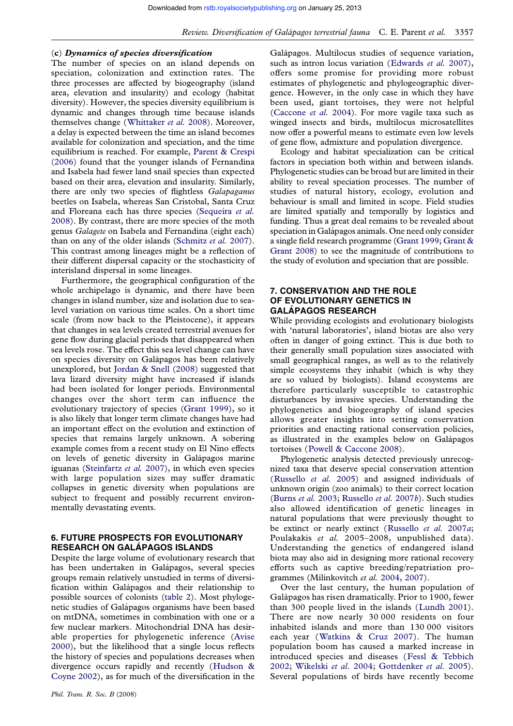#### (c) Dynamics of species diversification

The number of species on an island depends on speciation, colonization and extinction rates. The three processes are affected by biogeography (island area, elevation and insularity) and ecology (habitat diversity). However, the species diversity equilibrium is dynamic and changes through time because islands themselves change ([Whittaker](#page-15-0) et al. 2008). Moreover, a delay is expected between the time an island becomes available for colonization and speciation, and the time equilibrium is reached. For example, [Parent & Crespi](#page-14-0) [\(2006\)](#page-14-0) found that the younger islands of Fernandina and Isabela had fewer land snail species than expected based on their area, elevation and insularity. Similarly, there are only two species of flightless Galapaganus beetles on Isabela, whereas San Cristobal, Santa Cruz and Floreana each has three species [\(Sequeira](#page-14-0) et al. [2008](#page-14-0)). By contrast, there are more species of the moth genus Galagete on Isabela and Fernandina (eight each) than on any of the older islands ([Schmitz](#page-14-0) et al. 2007). This contrast among lineages might be a reflection of their different dispersal capacity or the stochasticity of interisland dispersal in some lineages.

Furthermore, the geographical configuration of the whole archipelago is dynamic, and there have been changes in island number, size and isolation due to sealevel variation on various time scales. On a short time scale (from now back to the Pleistocene), it appears that changes in sea levels created terrestrial avenues for gene flow during glacial periods that disappeared when sea levels rose. The effect this sea level change can have on species diversity on Gala´pagos has been relatively unexplored, but [Jordan & Snell \(2008\)](#page-13-0) suggested that lava lizard diversity might have increased if islands had been isolated for longer periods. Environmental changes over the short term can influence the evolutionary trajectory of species [\(Grant 1999](#page-13-0)), so it is also likely that longer term climate changes have had an important effect on the evolution and extinction of species that remains largely unknown. A sobering example comes from a recent study on El Nino effects on levels of genetic diversity in Galápagos marine iguanas [\(Steinfartz](#page-15-0) et al. 2007), in which even species with large population sizes may suffer dramatic collapses in genetic diversity when populations are subject to frequent and possibly recurrent environmentally devastating events.

# 6. FUTURE PROSPECTS FOR EVOLUTIONARY RESEARCH ON GALAPAGOS ISLANDS

Despite the large volume of evolutionary research that has been undertaken in Galápagos, several species groups remain relatively unstudied in terms of diversification within Galápagos and their relationship to possible sources of colonists ([table 2](#page-5-0)). Most phylogenetic studies of Galápagos organisms have been based on mtDNA, sometimes in combination with one or a few nuclear markers. Mitochondrial DNA has desirable properties for phylogenetic inference ([Avise](#page-12-0) [2000](#page-12-0)), but the likelihood that a single locus reflects the history of species and populations decreases when divergence occurs rapidly and recently ([Hudson &](#page-13-0) [Coyne 2002\)](#page-13-0), as for much of the diversification in the

Galápagos. Multilocus studies of sequence variation, such as intron locus variation ([Edwards](#page-13-0) et al. 2007), offers some promise for providing more robust estimates of phylogenetic and phylogeographic divergence. However, in the only case in which they have been used, giant tortoises, they were not helpful [\(Caccone](#page-12-0) et al. 2004). For more vagile taxa such as winged insects and birds, multilocus microsatellites now offer a powerful means to estimate even low levels of gene flow, admixture and population divergence.

Ecology and habitat specialization can be critical factors in speciation both within and between islands. Phylogenetic studies can be broad but are limited in their ability to reveal speciation processes. The number of studies of natural history, ecology, evolution and behaviour is small and limited in scope. Field studies are limited spatially and temporally by logistics and funding. Thus a great deal remains to be revealed about speciation in Galápagos animals. One need only consider a single field research programme [\(Grant 1999](#page-13-0); [Grant &](#page-13-0) [Grant 2008](#page-13-0)) to see the magnitude of contributions to the study of evolution and speciation that are possible.

# 7. CONSERVATION AND THE ROLE OF EVOLUTIONARY GENETICS IN GALÁPAGOS RESEARCH

While providing ecologists and evolutionary biologists with 'natural laboratories', island biotas are also very often in danger of going extinct. This is due both to their generally small population sizes associated with small geographical ranges, as well as to the relatively simple ecosystems they inhabit (which is why they are so valued by biologists). Island ecosystems are therefore particularly susceptible to catastrophic disturbances by invasive species. Understanding the phylogenetics and biogeography of island species allows greater insights into setting conservation priorities and enacting rational conservation policies, as illustrated in the examples below on Galápagos tortoises ([Powell & Caccone 2008\)](#page-14-0).

Phylogenetic analysis detected previously unrecognized taxa that deserve special conservation attention ([Russello](#page-14-0) et al. 2005) and assigned individuals of unknown origin (zoo animals) to their correct location [\(Burns](#page-12-0) et al. 2003; [Russello](#page-14-0) et al. 2007b). Such studies also allowed identification of genetic lineages in natural populations that were previously thought to be extinct or nearly extinct ([Russello](#page-14-0) et al. 2007a; Poulakakis et al. 2005–2008, unpublished data). Understanding the genetics of endangered island biota may also aid in designing more rational recovery efforts such as captive breeding/repatriation programmes (Milinkovitch et al. [2004,](#page-14-0) [2007\)](#page-14-0).

Over the last century, the human population of Galápagos has risen dramatically. Prior to 1900, fewer than 300 people lived in the islands ([Lundh 2001\)](#page-14-0). There are now nearly 30 000 residents on four inhabited islands and more than 130 000 visitors each year ([Watkins & Cruz 2007](#page-15-0)). The human population boom has caused a marked increase in introduced species and diseases ([Fessl & Tebbich](#page-13-0) [2002;](#page-13-0) [Wikelski](#page-15-0) et al. 2004; [Gottdenker](#page-13-0) et al. 2005). Several populations of birds have recently become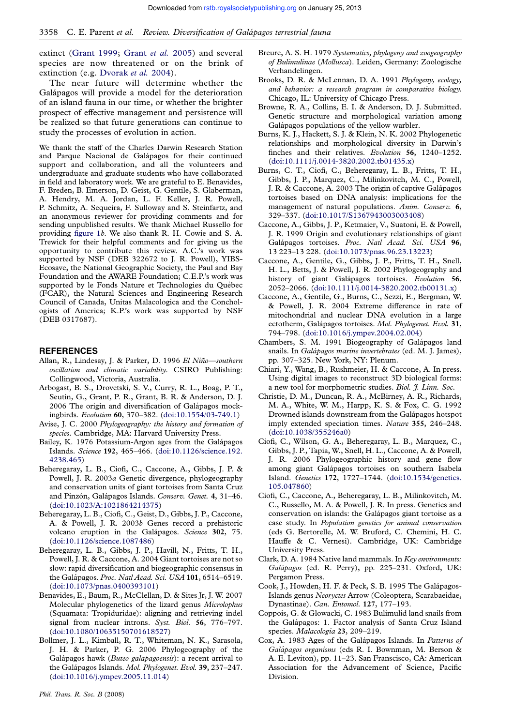extinct ([Grant 1999;](#page-13-0) [Grant](#page-13-0) et al. 2005) and several species are now threatened or on the brink of extinction (e.g. [Dvorak](#page-13-0) et al. 2004).

The near future will determine whether the Galápagos will provide a model for the deterioration of an island fauna in our time, or whether the brighter prospect of effective management and persistence will be realized so that future generations can continue to study the processes of evolution in action.

We thank the staff of the Charles Darwin Research Station and Parque Nacional de Galápagos for their continued support and collaboration, and all the volunteers and undergraduate and graduate students who have collaborated in field and laboratory work. We are grateful to E. Benavides, F. Breden, B. Emerson, D. Geist, G. Gentile, S. Glaberman, A. Hendry, M. A. Jordan, L. F. Keller, J. R. Powell, P. Schmitz, A. Sequeira, F. Sulloway and S. Steinfartz, and an anonymous reviewer for providing comments and for sending unpublished results. We thank Michael Russello for providing [figure 1](#page-3-0)b. We also thank R. H. Cowie and S. A. Trewick for their helpful comments and for giving us the opportunity to contribute this review. A.C.'s work was supported by NSF (DEB 322672 to J. R. Powell), YIBS-Ecosave, the National Geographic Society, the Paul and Bay Foundation and the AWARE Foundation; C.E.P.'s work was supported by le Fonds Nature et Technologies du Québec (FCAR), the Natural Sciences and Engineering Research Council of Canada, Unitas Malacologica and the Conchologists of America; K.P.'s work was supported by NSF (DEB 0317687).

#### REFERENCES

- Allan, R., Lindesay, J. & Parker, D. 1996 El Niño-southern oscillation and climatic variability. CSIRO Publishing: Collingwood, Victoria, Australia.
- Arbogast, B. S., Drovetski, S. V., Curry, R. L., Boag, P. T., Seutin, G., Grant, P. R., Grant, B. R. & Anderson, D. J. 2006 The origin and diversification of Galápagos mockingbirds. Evolution 60, 370–382. ([doi:10.1554/03-749.1\)](http://dx.doi.org/doi:10.1554/03-749.1)
- Avise, J. C. 2000 Phylogeography: the history and formation of species. Cambridge, MA: Harvard University Press.
- Bailey, K. 1976 Potassium-Argon ages from the Galápagos Islands. Science 192, 465–466. ([doi:10.1126/science.192.](http://dx.doi.org/doi:10.1126/science.192.4238.465) [4238.465\)](http://dx.doi.org/doi:10.1126/science.192.4238.465)
- Beheregaray, L. B., Ciofi, C., Caccone, A., Gibbs, J. P. & Powell, J. R. 2003a Genetic divergence, phylogeography and conservation units of giant tortoises from Santa Cruz and Pinzón, Galápagos Islands. Conserv. Genet. 4, 31-46. ([doi:10.1023/A:1021864214375](http://dx.doi.org/doi:10.1023/A:1021864214375))
- <span id="page-12-1"></span>Beheregaray, L. B., Ciofi, C., Geist, D., Gibbs, J. P., Caccone, A. & Powell, J. R. 2003b Genes record a prehistoric volcano eruption in the Galápagos. Science 302, 75. ([doi:10.1126/science.1087486\)](http://dx.doi.org/doi:10.1126/science.1087486)
- Beheregaray, L. B., Gibbs, J. P., Havill, N., Fritts, T. H., Powell, J. R. & Caccone, A. 2004 Giant tortoises are not so slow: rapid diversification and biogeographic consensus in the Galápagos. Proc. Natl Acad. Sci. USA 101, 6514–6519. ([doi:10.1073/pnas.0400393101\)](http://dx.doi.org/doi:10.1073/pnas.0400393101)
- Benavides, E., Baum, R., McClellan, D. & Sites Jr, J. W. 2007 Molecular phylogenetics of the lizard genus Microlophus (Squamata: Tropiduridae): aligning and retrieving indel signal from nuclear introns. Syst. Biol. 56, 776-797. ([doi:10.1080/10635150701618527\)](http://dx.doi.org/doi:10.1080/10635150701618527)
- <span id="page-12-0"></span>Bollmer, J. L., Kimball, R. T., Whiteman, N. K., Sarasola, J. H. & Parker, P. G. 2006 Phylogeography of the Galápagos hawk (Buteo galapagoensis): a recent arrival to the Galápagos Islands. Mol. Phylogenet. Evol. 39, 237-247. ([doi:10.1016/j.ympev.2005.11.014\)](http://dx.doi.org/doi:10.1016/j.ympev.2005.11.014)
- Breure, A. S. H. 1979 Systematics, phylogeny and zoogeography of Bulimulinae (Mollusca). Leiden, Germany: Zoologische Verhandelingen.
- Brooks, D. R. & McLennan, D. A. 1991 Phylogeny, ecology, and behavior: a research program in comparative biology. Chicago, IL: University of Chicago Press.
- Browne, R. A., Collins, E. I. & Anderson, D. J. Submitted. Genetic structure and morphological variation among Galápagos populations of the yellow warbler.
- Burns, K. J., Hackett, S. J. & Klein, N. K. 2002 Phylogenetic relationships and morphological diversity in Darwin's finches and their relatives. Evolution 56, 1240–1252. ([doi:10.1111/j.0014-3820.2002.tb01435.x](http://dx.doi.org/doi:10.1111/j.0014-3820.2002.tb01435.x))
- Burns, C. T., Ciofi, C., Beheregaray, L. B., Fritts, T. H., Gibbs, J. P., Marquez, C., Milinkovitch, M. C., Powell, J. R. & Caccone, A. 2003 The origin of captive Galápagos tortoises based on DNA analysis: implications for the management of natural populations. Anim. Conserv. 6, 329–337. [\(doi:10.1017/S1367943003003408\)](http://dx.doi.org/doi:10.1017/S1367943003003408)
- Caccone, A., Gibbs, J. P., Ketmaier, V., Suatoni, E. & Powell, J. R. 1999 Origin and evolutionary relationships of giant Galápagos tortoises. Proc. Natl Acad. Sci. USA 96, 13 223–13 228. ([doi:10.1073/pnas.96.23.13223\)](http://dx.doi.org/doi:10.1073/pnas.96.23.13223)
- Caccone, A., Gentile, G., Gibbs, J. P., Fritts, T. H., Snell, H. L., Betts, J. & Powell, J. R. 2002 Phylogeography and history of giant Galápagos tortoises. Evolution 56, 2052–2066. [\(doi:10.1111/j.0014-3820.2002.tb00131.x\)](http://dx.doi.org/doi:10.1111/j.0014-3820.2002.tb00131.x)
- Caccone, A., Gentile, G., Burns, C., Sezzi, E., Bergman, W. & Powell, J. R. 2004 Extreme difference in rate of mitochondrial and nuclear DNA evolution in a large ectotherm, Galápagos tortoises. Mol. Phylogenet. Evol. 31, 794–798. [\(doi:10.1016/j.ympev.2004.02.004](http://dx.doi.org/doi:10.1016/j.ympev.2004.02.004))
- Chambers, S. M. 1991 Biogeography of Galápagos land snails. In Galápagos marine invertebrates (ed. M. J. James), pp. 307–325. New York, NY: Plenum.
- Chiari, Y., Wang, B., Rushmeier, H. & Caccone, A. In press. Using digital images to reconstruct 3D biological forms: a new tool for morphometric studies. Biol. J. Linn. Soc.
- Christie, D. M., Duncan, R. A., McBirney, A. R., Richards, M. A., White, W. M., Harpp, K. S. & Fox, C. G. 1992 Drowned islands downstream from the Galápagos hotspot imply extended speciation times. Nature 355, 246–248. ([doi:10.1038/355246a0\)](http://dx.doi.org/doi:10.1038/355246a0)
- Ciofi, C., Wilson, G. A., Beheregaray, L. B., Marquez, C., Gibbs, J. P., Tapia, W., Snell, H. L., Caccone, A. & Powell, J. R. 2006 Phylogeographic history and gene flow among giant Galápagos tortoises on southern Isabela Island. Genetics 172, 1727–1744. ([doi:10.1534/genetics.](http://dx.doi.org/doi:10.1534/genetics.105.047860) [105.047860](http://dx.doi.org/doi:10.1534/genetics.105.047860))
- Ciofi, C., Caccone, A., Beheregaray, L. B., Milinkovitch, M. C., Russello, M. A. & Powell, J. R. In press. Genetics and conservation on islands: the Galápagos giant tortoise as a case study. In Population genetics for animal conservation (eds G. Bertorelle, M. W. Bruford, C. Chemini, H. C. Hauffe & C. Vernesi). Cambridge, UK: Cambridge University Press.
- Clark, D. A. 1984 Native land mammals. In Key environments: Galápagos (ed. R. Perry), pp. 225-231. Oxford, UK: Pergamon Press.
- Cook, J., Howden, H. F. & Peck, S. B. 1995 The Galápagos-Islands genus Neoryctes Arrow (Coleoptera, Scarabaeidae, Dynastinae). Can. Entomol. 127, 177–193.
- Coppois, G. & Glowacki, C. 1983 Bulimulid land snails from the Galápagos: 1. Factor analysis of Santa Cruz Island species. Malacologia 23, 209-219.
- Cox, A. 1983 Ages of the Galápagos Islands. In Patterns of Galápagos organisms (eds R. I. Bownman, M. Berson & A. E. Leviton), pp. 11–23. San Franscisco, CA: American Association for the Advancement of Science, Pacific Division.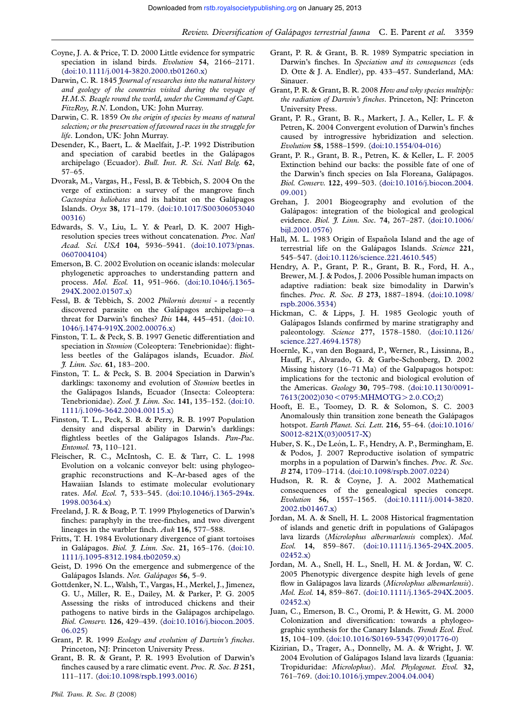- Coyne, J. A. & Price, T. D. 2000 Little evidence for sympatric speciation in island birds. Evolution 54, 2166–2171. ([doi:10.1111/j.0014-3820.2000.tb01260.x](http://dx.doi.org/doi:10.1111/j.0014-3820.2000.tb01260.x))
- Darwin, C. R. 1845 Journal of researches into the natural history and geology of the countries visited during the voyage of H.M.S. Beagle round the world, under the Command of Capt. FitzRoy, R.N. London, UK: John Murray.
- Darwin, C. R. 1859 On the origin of species by means of natural selection; or the preservation of favoured races in the struggle for life. London, UK: John Murray.
- Desender, K., Baert, L. & Maelfait, J.-P. 1992 Distribution and speciation of carabid beetles in the Galápagos archipelago (Ecuador). Bull. Inst. R. Sci. Natl Belg. 62, 57–65.
- Dvorak, M., Vargas, H., Fessl, B. & Tebbich, S. 2004 On the verge of extinction: a survey of the mangrove finch Cactospiza heliobates and its habitat on the Galápagos Islands. Oryx 38, 171–179. ([doi:10.1017/S00306053040](http://dx.doi.org/doi:10.1017/S0030605304000316) [00316\)](http://dx.doi.org/doi:10.1017/S0030605304000316)
- Edwards, S. V., Liu, L. Y. & Pearl, D. K. 2007 Highresolution species trees without concatenation. Proc. Natl Acad. Sci. USA 104, 5936-5941. ([doi:10.1073/pnas.](http://dx.doi.org/doi:10.1073/pnas.0607004104) [0607004104\)](http://dx.doi.org/doi:10.1073/pnas.0607004104)
- Emerson, B. C. 2002 Evolution on oceanic islands: molecular phylogenetic approaches to understanding pattern and process. Mol. Ecol. 11, 951–966. ([doi:10.1046/j.1365-](http://dx.doi.org/doi:10.1046/j.1365-294X.2002.01507.x) [294X.2002.01507.x\)](http://dx.doi.org/doi:10.1046/j.1365-294X.2002.01507.x)
- Fessl, B. & Tebbich, S. 2002 Philornis downsi a recently discovered parasite on the Galápagos archipelago—a threat for Darwin's finches? Ibis 144, 445–451. ([doi:10.](http://dx.doi.org/doi:10.1046/j.1474-919X.2002.00076.x) [1046/j.1474-919X.2002.00076.x](http://dx.doi.org/doi:10.1046/j.1474-919X.2002.00076.x))
- Finston, T. L. & Peck, S. B. 1997 Genetic differentiation and speciation in Stomion (Coleoptera: Tenebrionidae): flightless beetles of the Galápagos islands, Ecuador. Biol. J. Linn. Soc. 61, 183–200.
- Finston, T. L. & Peck, S. B. 2004 Speciation in Darwin's darklings: taxonomy and evolution of Stomion beetles in the Galápagos Islands, Ecuador (Insecta: Coleoptera: Tenebrionidae). Zool. J. Linn. Soc. 141, 135-152. ([doi:10.](http://dx.doi.org/doi:10.1111/j.1096-3642.2004.00115.x) [1111/j.1096-3642.2004.00115.x](http://dx.doi.org/doi:10.1111/j.1096-3642.2004.00115.x))
- Finston, T. L., Peck, S. B. & Perry, R. B. 1997 Population density and dispersal ability in Darwin's darklings: flightless beetles of the Galápagos Islands. Pan-Pac. Entomol. 73, 110–121.
- Fleischer, R. C., McIntosh, C. E. & Tarr, C. L. 1998 Evolution on a volcanic conveyor belt: using phylogeographic reconstructions and K–Ar-based ages of the Hawaiian Islands to estimate molecular evolutionary rates. Mol. Ecol. 7, 533–545. ([doi:10.1046/j.1365-294x.](http://dx.doi.org/doi:10.1046/j.1365-294x.1998.00364.x) [1998.00364.x](http://dx.doi.org/doi:10.1046/j.1365-294x.1998.00364.x))
- <span id="page-13-1"></span>Freeland, J. R. & Boag, P. T. 1999 Phylogenetics of Darwin's finches: paraphyly in the tree-finches, and two divergent lineages in the warbler finch. Auk 116, 577–588.
- Fritts, T. H. 1984 Evolutionary divergence of giant tortoises in Galápagos. Biol. J. Linn. Soc. 21, 165-176. ([doi:10.](http://dx.doi.org/doi:10.1111/j.1095-8312.1984.tb02059.x) [1111/j.1095-8312.1984.tb02059.x](http://dx.doi.org/doi:10.1111/j.1095-8312.1984.tb02059.x))
- Geist, D. 1996 On the emergence and submergence of the Galápagos Islands. Not. Galápagos 56, 5-9.
- Gottdenker, N. L., Walsh, T., Vargas, H., Merkel, J., Jimenez, G. U., Miller, R. E., Dailey, M. & Parker, P. G. 2005 Assessing the risks of introduced chickens and their pathogens to native birds in the Galápagos archipelago. Biol. Conserv. 126, 429–439. [\(doi:10.1016/j.biocon.2005.](http://dx.doi.org/doi:10.1016/j.biocon.2005.06.025) [06.025\)](http://dx.doi.org/doi:10.1016/j.biocon.2005.06.025)
- Grant, P. R. 1999 Ecology and evolution of Darwin's finches. Princeton, NJ: Princeton University Press.
- <span id="page-13-0"></span>Grant, B. R. & Grant, P. R. 1993 Evolution of Darwin's finches caused by a rare climatic event. Proc. R. Soc. B 251, 111–117. [\(doi:10.1098/rspb.1993.0016\)](http://dx.doi.org/doi:10.1098/rspb.1993.0016)
- Grant, P. R. & Grant, B. R. 1989 Sympatric speciation in Darwin's finches. In Speciation and its consequences (eds D. Otte & J. A. Endler), pp. 433–457. Sunderland, MA: Sinauer.
- Grant, P. R. & Grant, B. R. 2008 How and why species multiply: the radiation of Darwin's finches. Princeton, NJ: Princeton University Press.
- Grant, P. R., Grant, B. R., Markert, J. A., Keller, L. F. & Petren, K. 2004 Convergent evolution of Darwin's finches caused by introgressive hybridization and selection. Evolution 58, 1588–1599. ([doi:10.1554/04-016\)](http://dx.doi.org/doi:10.1554/04-016)
- Grant, P. R., Grant, B. R., Petren, K. & Keller, L. F. 2005 Extinction behind our backs: the possible fate of one of the Darwin's finch species on Isla Floreana, Galápagos. Biol. Conserv. 122, 499–503. [\(doi:10.1016/j.biocon.2004.](http://dx.doi.org/doi:10.1016/j.biocon.2004.09.001) [09.001\)](http://dx.doi.org/doi:10.1016/j.biocon.2004.09.001)
- Grehan, J. 2001 Biogeography and evolution of the Galápagos: integration of the biological and geological evidence. Biol. J. Linn. Soc. 74, 267–287. ([doi:10.1006/](http://dx.doi.org/doi:10.1006/bijl.2001.0576) [bijl.2001.0576](http://dx.doi.org/doi:10.1006/bijl.2001.0576))
- Hall, M. L. 1983 Origin of Española Island and the age of terrestrial life on the Galápagos Islands. Science 221, 545–547. [\(doi:10.1126/science.221.4610.545](http://dx.doi.org/doi:10.1126/science.221.4610.545))
- Hendry, A. P., Grant, P. R., Grant, B. R., Ford, H. A., Brewer, M. J. & Podos, J. 2006 Possible human impacts on adaptive radiation: beak size bimodality in Darwin's finches. Proc. R. Soc. B 273, 1887–1894. ([doi:10.1098/](http://dx.doi.org/doi:10.1098/rspb.2006.3534) [rspb.2006.3534\)](http://dx.doi.org/doi:10.1098/rspb.2006.3534)
- Hickman, C. & Lipps, J. H. 1985 Geologic youth of Galápagos Islands confirmed by marine stratigraphy and paleontology. Science 277, 1578–1580. ([doi:10.1126/](http://dx.doi.org/doi:10.1126/science.227.4694.1578) [science.227.4694.1578\)](http://dx.doi.org/doi:10.1126/science.227.4694.1578)
- Hoernle, K., van den Bogaard, P., Werner, R., Lissinna, B., Hauff, F., Alvarado, G. & Garbe-Schonberg, D. 2002 Missing history (16–71 Ma) of the Galpapagos hotspot: implications for the tectonic and biological evolution of the Americas. Geology 30, 795–798. ([doi:10.1130/0091-](http://dx.doi.org/doi:10.1130/0091-7613(2002)030%3C0795:MHMOTG%3E2.0.CO;2) 7613(2002)030<[0795:MHMOTG](http://dx.doi.org/doi:10.1130/0091-7613(2002)030%3C0795:MHMOTG%3E2.0.CO;2)>2.0.CO;2)
- Hooft, E. E., Toomey, D. R. & Solomon, S. C. 2003 Anomalously thin transition zone beneath the Galápagos hotspot. Earth Planet. Sci. Lett. 216, 55–64. ([doi:10.1016/](http://dx.doi.org/doi:10.1016/S0012-821X(03)00517-X) [S0012-821X\(03\)00517-X](http://dx.doi.org/doi:10.1016/S0012-821X(03)00517-X))
- Huber, S. K., De León, L. F., Hendry, A. P., Bermingham, E. & Podos, J. 2007 Reproductive isolation of sympatric morphs in a population of Darwin's finches. Proc. R. Soc. B 274, 1709–1714. [\(doi:10.1098/rspb.2007.0224\)](http://dx.doi.org/doi:10.1098/rspb.2007.0224)
- Hudson, R. R. & Coyne, J. A. 2002 Mathematical consequences of the genealogical species concept. Evolution 56, 1557–1565. [\(doi:10.1111/j.0014-3820.](http://dx.doi.org/doi:10.1111/j.0014-3820.2002.tb01467.x) [2002.tb01467.x\)](http://dx.doi.org/doi:10.1111/j.0014-3820.2002.tb01467.x)
- Jordan, M. A. & Snell, H. L. 2008 Historical fragmentation of islands and genetic drift in populations of Gala´pagos lava lizards (Microlophus albermarlensis complex). Mol. Ecol. 14, 859–867. ([doi:10.1111/j.1365-294X.2005.](http://dx.doi.org/doi:10.1111/j.1365-294X.2005.02452.x) [02452.x](http://dx.doi.org/doi:10.1111/j.1365-294X.2005.02452.x))
- Jordan, M. A., Snell, H. L., Snell, H. M. & Jordan, W. C. 2005 Phenotypic divergence despite high levels of gene flow in Galápagos lava lizards (Microlophus albemarlensis). Mol. Ecol. 14, 859–867. ([doi:10.1111/j.1365-294X.2005.](http://dx.doi.org/doi:10.1111/j.1365-294X.2005.02452.x) [02452.x](http://dx.doi.org/doi:10.1111/j.1365-294X.2005.02452.x))
- Juan, C., Emerson, B. C., Oromi, P. & Hewitt, G. M. 2000 Colonization and diversification: towards a phylogeographic synthesis for the Canary Islands. Trends Ecol. Evol. 15, 104–109. ([doi:10.1016/S0169-5347\(99\)01776-0\)](http://dx.doi.org/doi:10.1016/S0169-5347(99)01776-0)
- Kizirian, D., Trager, A., Donnelly, M. A. & Wright, J. W. 2004 Evolution of Galápagos Island lava lizards (Iguania: Tropiduridae: Microlophus). Mol. Phylogenet. Evol. 32, 761–769. [\(doi:10.1016/j.ympev.2004.04.004](http://dx.doi.org/doi:10.1016/j.ympev.2004.04.004))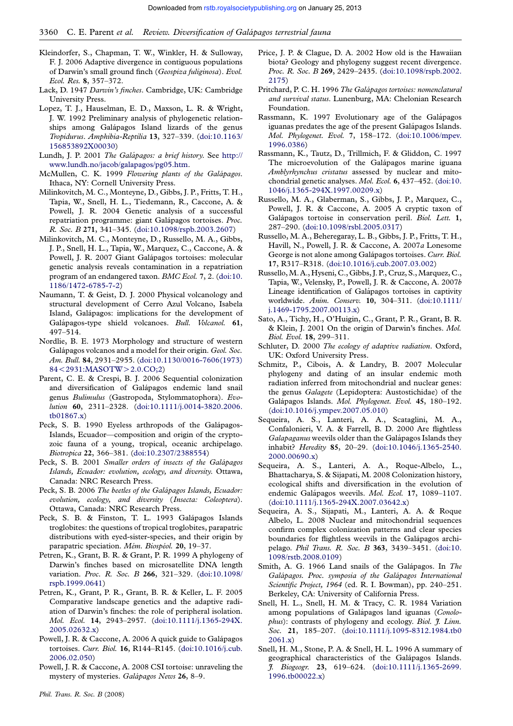- Kleindorfer, S., Chapman, T. W., Winkler, H. & Sulloway, F. J. 2006 Adaptive divergence in contiguous populations of Darwin's small ground finch (Geospiza fuliginosa). Evol. Ecol. Res. 8, 357–372.
- Lack, D. 1947 Darwin's finches. Cambridge, UK: Cambridge University Press.
- Lopez, T. J., Hauselman, E. D., Maxson, L. R. & Wright, J. W. 1992 Preliminary analysis of phylogenetic relationships among Galápagos Island lizards of the genus Tropidurus. Amphibia-Reptilia 13, 327–339. ([doi:10.1163/](http://dx.doi.org/doi:10.1163/156853892X00030) [156853892X00030\)](http://dx.doi.org/doi:10.1163/156853892X00030)
- Lundh, J. P. 2001 The Galápagos: a brief history. See [http://](http://www.lundh.no/jacob/galapagos/pg05.htm) [www.lundh.no/jacob/galapagos/pg05.htm.](http://www.lundh.no/jacob/galapagos/pg05.htm)
- McMullen, C. K. 1999 Flowering plants of the Galápagos. Ithaca, NY: Cornell University Press.
- Milinkovitch, M. C., Monteyne, D., Gibbs, J. P., Fritts, T. H., Tapia, W., Snell, H. L., Tiedemann, R., Caccone, A. & Powell, J. R. 2004 Genetic analysis of a successful repatriation programme: giant Galápagos tortoises. Proc. R. Soc. B 271, 341–345. ([doi:10.1098/rspb.2003.2607](http://dx.doi.org/doi:10.1098/rspb.2003.2607))
- Milinkovitch, M. C., Monteyne, D., Russello, M. A., Gibbs, J. P., Snell, H. L., Tapia, W., Marquez, C., Caccone, A. & Powell, J. R. 2007 Giant Galápagos tortoises: molecular genetic analysis reveals contamination in a repatriation program of an endangered taxon. BMC Ecol. 7, 2. ([doi:10.](http://dx.doi.org/doi:10.1186/1472-6785-7-2) [1186/1472-6785-7-2\)](http://dx.doi.org/doi:10.1186/1472-6785-7-2)
- Naumann, T. & Geist, D. J. 2000 Physical volcanology and structural development of Cerro Azul Volcano, Isabela Island, Galápagos: implications for the development of Galápagos-type shield volcanoes. Bull. Volcanol. 61, 497–514.
- Nordlie, B. E. 1973 Morphology and structure of western Galápagos volcanos and a model for their origin. Geol. Soc. Am. Bull. 84, 2931–2955. [\(doi:10.1130/0016-7606\(1973\)](http://dx.doi.org/doi:10.1130/0016-7606(1973)84%3C2931:MASOTW%3E2.0.CO;2) 84<[2931:MASOTW](http://dx.doi.org/doi:10.1130/0016-7606(1973)84%3C2931:MASOTW%3E2.0.CO;2)>2.0.CO;2)
- Parent, C. E. & Crespi, B. J. 2006 Sequential colonization and diversification of Galápagos endemic land snail genus Bulimulus (Gastropoda, Stylommatophora). Evolution 60, 2311–2328. ([doi:10.1111/j.0014-3820.2006.](http://dx.doi.org/doi:10.1111/j.0014-3820.2006.tb01867.x) [tb01867.x](http://dx.doi.org/doi:10.1111/j.0014-3820.2006.tb01867.x))
- Peck, S. B. 1990 Eyeless arthropods of the Galápagos-Islands, Ecuador—composition and origin of the cryptozoic fauna of a young, tropical, oceanic archipelago. Biotropica 22, 366–381. ([doi:10.2307/2388554](http://dx.doi.org/doi:10.2307/2388554))
- Peck, S. B. 2001 Smaller orders of insects of the Galápagos Islands, Ecuador: evolution, ecology, and diversity. Ottawa, Canada: NRC Research Press.
- Peck, S. B. 2006 The beetles of the Galápagos Islands, Ecuador: evolution, ecology, and diversity (Insecta: Coleoptera). Ottawa, Canada: NRC Research Press.
- <span id="page-14-1"></span>Peck, S. B. & Finston, T. L. 1993 Galápagos Islands troglobites: the questions of tropical troglobites, parapatric distributions with eyed-sister-species, and their origin by parapatric speciation. Mém. Biospéol. 20, 19-37.
- Petren, K., Grant, B. R. & Grant, P. R. 1999 A phylogeny of Darwin's finches based on microsatellite DNA length variation. Proc. R. Soc. B 266, 321–329. ([doi:10.1098/](http://dx.doi.org/doi:10.1098/rspb.1999.0641) [rspb.1999.0641\)](http://dx.doi.org/doi:10.1098/rspb.1999.0641)
- Petren, K., Grant, P. R., Grant, B. R. & Keller, L. F. 2005 Comparative landscape genetics and the adaptive radiation of Darwin's finches: the role of peripheral isolation. Mol. Ecol. 14, 2943–2957. [\(doi:10.1111/j.1365-294X.](http://dx.doi.org/doi:10.1111/j.1365-294X.2005.02632.x) [2005.02632.x\)](http://dx.doi.org/doi:10.1111/j.1365-294X.2005.02632.x)
- Powell, J. R. & Caccone, A. 2006 A quick guide to Galápagos tortoises. Curr. Biol. 16, R144–R145. ([doi:10.1016/j.cub.](http://dx.doi.org/doi:10.1016/j.cub.2006.02.050) [2006.02.050](http://dx.doi.org/doi:10.1016/j.cub.2006.02.050))
- <span id="page-14-0"></span>Powell, J. R. & Caccone, A. 2008 CSI tortoise: unraveling the mystery of mysteries. Galápagos News 26, 8-9.
- Price, J. P. & Clague, D. A. 2002 How old is the Hawaiian biota? Geology and phylogeny suggest recent divergence. Proc. R. Soc. B 269, 2429-2435. ([doi:10.1098/rspb.2002.](http://dx.doi.org/doi:10.1098/rspb.2002.2175) [2175](http://dx.doi.org/doi:10.1098/rspb.2002.2175))
- Pritchard, P. C. H. 1996 The Galápagos tortoises: nomenclatural and survival status. Lunenburg, MA: Chelonian Research Foundation.
- Rassmann, K. 1997 Evolutionary age of the Galápagos iguanas predates the age of the present Galápagos Islands. Mol. Phylogenet. Evol. 7, 158–172. [\(doi:10.1006/mpev.](http://dx.doi.org/doi:10.1006/mpev.1996.0386) [1996.0386\)](http://dx.doi.org/doi:10.1006/mpev.1996.0386)
- Rassmann, K., Tautz, D., Trillmich, F. & Gliddon, C. 1997 The microevolution of the Galápagos marine iguana Amblyrhynchus cristatus assessed by nuclear and mitochondrial genetic analyses. Mol. Ecol. 6, 437–452. ([doi:10.](http://dx.doi.org/doi:10.1046/j.1365-294X.1997.00209.x) [1046/j.1365-294X.1997.00209.x](http://dx.doi.org/doi:10.1046/j.1365-294X.1997.00209.x))
- Russello, M. A., Glaberman, S., Gibbs, J. P., Marquez, C., Powell, J. R. & Caccone, A. 2005 A cryptic taxon of Galápagos tortoise in conservation peril. Biol. Lett. 1, 287–290. [\(doi:10.1098/rsbl.2005.0317](http://dx.doi.org/doi:10.1098/rsbl.2005.0317))
- Russello, M. A., Beheregaray, L. B., Gibbs, J. P., Fritts, T. H., Havill, N., Powell, J. R. & Caccone, A. 2007a Lonesome George is not alone among Galápagos tortoises. Curr. Biol. 17, R317–R318. ([doi:10.1016/j.cub.2007.03.002](http://dx.doi.org/doi:10.1016/j.cub.2007.03.002))
- Russello,M. A., Hyseni, C., Gibbs, J. P., Cruz, S.,Marquez, C., Tapia, W., Velensky, P., Powell, J. R. & Caccone, A. 2007b Lineage identification of Galápagos tortoises in captivity worldwide. Anim. Conserv. 10, 304–311. ([doi:10.1111/](http://dx.doi.org/doi:10.1111/j.1469-1795.2007.00113.x) [j.1469-1795.2007.00113.x\)](http://dx.doi.org/doi:10.1111/j.1469-1795.2007.00113.x)
- Sato, A., Tichy, H., O'Huigin, C., Grant, P. R., Grant, B. R. & Klein, J. 2001 On the origin of Darwin's finches. Mol. Biol. Evol. 18, 299–311.
- Schluter, D. 2000 The ecology of adaptive radiation. Oxford, UK: Oxford University Press.
- Schmitz, P., Cibois, A. & Landry, B. 2007 Molecular phylogeny and dating of an insular endemic moth radiation inferred from mitochondrial and nuclear genes: the genus Galagete (Lepidoptera: Austostichidae) of the Galápagos Islands. Mol. Phylogenet. Evol. 45, 180-192. ([doi:10.1016/j.ympev.2007.05.010\)](http://dx.doi.org/doi:10.1016/j.ympev.2007.05.010)
- Sequeira, A. S., Lanteri, A. A., Scataglini, M. A., Confalonieri, V. A. & Farrell, B. D. 2000 Are flightless Galapaganus weevils older than the Galápagos Islands they inhabit? Heredity 85, 20–29. [\(doi:10.1046/j.1365-2540.](http://dx.doi.org/doi:10.1046/j.1365-2540.2000.00690.x) [2000.00690.x\)](http://dx.doi.org/doi:10.1046/j.1365-2540.2000.00690.x)
- Sequeira, A. S., Lanteri, A. A., Roque-Albelo, L., Bhattacharya, S. & Sijapati, M. 2008 Colonization history, ecological shifts and diversification in the evolution of endemic Galápagos weevils. Mol. Ecol. 17, 1089-1107. ([doi:10.1111/j.1365-294X.2007.03642.x](http://dx.doi.org/doi:10.1111/j.1365-294X.2007.03642.x))
- Sequeira, A. S., Sijapati, M., Lanteri, A. A. & Roque Albelo, L. 2008 Nuclear and mitochondrial sequences confirm complex colonization patterns and clear species boundaries for flightless weevils in the Galápagos archipelago. Phil Trans. R. Soc. B 363, 3439–3451. ([doi:10.](http://dx.doi.org/doi:10.1098/rstb.2008.0109) [1098/rstb.2008.0109](http://dx.doi.org/doi:10.1098/rstb.2008.0109))
- Smith, A. G. 1966 Land snails of the Galápagos. In  $The$ Galápagos. Proc. symposia of the Galápagos International Scientific Project, 1964 (ed. R. I. Bowman), pp. 240–251. Berkeley, CA: University of California Press.
- Snell, H. L., Snell, H. M. & Tracy, C. R. 1984 Variation among populations of Galápagos land iguanas (Conolophus): contrasts of phylogeny and ecology. Biol. J. Linn. Soc. 21, 185-207. ([doi:10.1111/j.1095-8312.1984.tb0](http://dx.doi.org/doi:10.1111/j.1095-8312.1984.tb02061.x) [2061.x](http://dx.doi.org/doi:10.1111/j.1095-8312.1984.tb02061.x))
- Snell, H. M., Stone, P. A. & Snell, H. L. 1996 A summary of geographical characteristics of the Galápagos Islands. J. Biogeogr. 23, 619–624. [\(doi:10.1111/j.1365-2699.](http://dx.doi.org/doi:10.1111/j.1365-2699.1996.tb00022.x) [1996.tb00022.x\)](http://dx.doi.org/doi:10.1111/j.1365-2699.1996.tb00022.x)